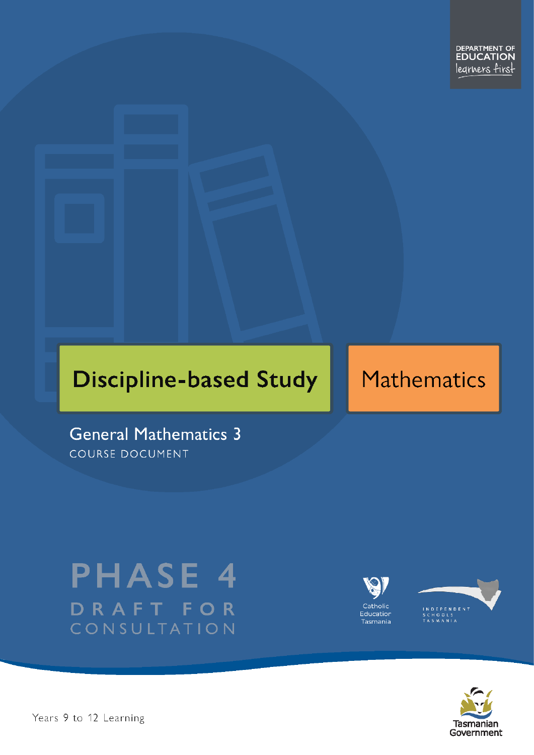# **Discipline-based Study**

# **Mathematics**

**General Mathematics 3** COURSE DOCUMENT

# **PHASE 4** DRAFT FOR CONSULTATION





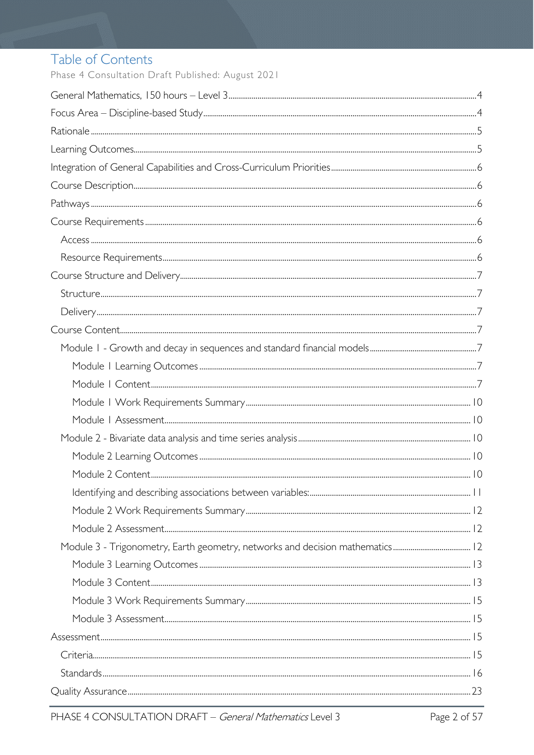# Table of Contents

Phase 4 Consultation Draft Published: August 2021

| $Standards  \  \,  16$ |  |
|------------------------|--|
|                        |  |
|                        |  |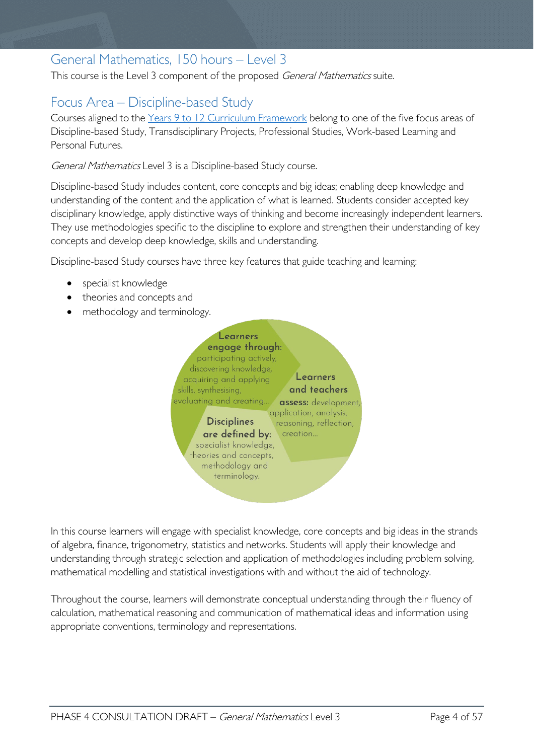# <span id="page-3-0"></span>General Mathematics, 150 hours – Level 3

This course is the Level 3 component of the proposed General Mathematics suite.

# <span id="page-3-1"></span>Focus Area – Discipline-based Study

Courses aligned to the [Years 9 to 12 Curriculum Framework](https://publicdocumentcentre.education.tas.gov.au/library/Shared%20Documents/Education%209-12%20Frameworks%20A3%20WEB%20POSTER.pdf) belong to one of the five focus areas of Discipline-based Study, Transdisciplinary Projects, Professional Studies, Work-based Learning and Personal Futures.

General Mathematics Level 3 is a Discipline-based Study course.

Discipline-based Study includes content, core concepts and big ideas; enabling deep knowledge and understanding of the content and the application of what is learned. Students consider accepted key disciplinary knowledge, apply distinctive ways of thinking and become increasingly independent learners. They use methodologies specific to the discipline to explore and strengthen their understanding of key concepts and develop deep knowledge, skills and understanding.

Discipline-based Study courses have three key features that guide teaching and learning:

- specialist knowledge
- theories and concepts and
- methodology and terminology.



In this course learners will engage with specialist knowledge, core concepts and big ideas in the strands of algebra, finance, trigonometry, statistics and networks. Students will apply their knowledge and understanding through strategic selection and application of methodologies including problem solving, mathematical modelling and statistical investigations with and without the aid of technology.

<span id="page-3-2"></span>Throughout the course, learners will demonstrate conceptual understanding through their fluency of calculation, mathematical reasoning and communication of mathematical ideas and information using appropriate conventions, terminology and representations.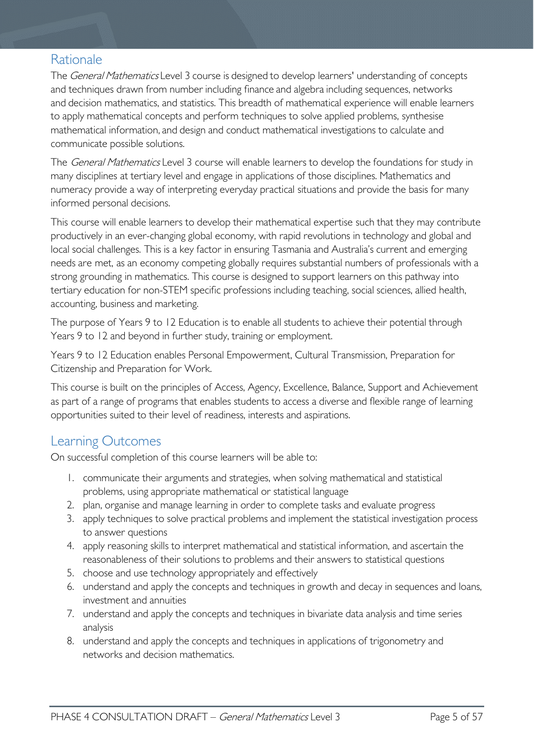## Rationale

The *General Mathematics* Level 3 course is designed to develop learners' understanding of concepts and techniques drawn from number including finance and algebra including sequences, networks and decision mathematics, and statistics. This breadth of mathematical experience will enable learners to apply mathematical concepts and perform techniques to solve applied problems, synthesise mathematical information, and design and conduct mathematical investigations to calculate and communicate possible solutions.

The *General Mathematics* Level 3 course will enable learners to develop the foundations for study in many disciplines at tertiary level and engage in applications of those disciplines. Mathematics and numeracy provide a way of interpreting everyday practical situations and provide the basis for many informed personal decisions.

This course will enable learners to develop their mathematical expertise such that they may contribute productively in an ever-changing global economy, with rapid revolutions in technology and global and local social challenges. This is a key factor in ensuring Tasmania and Australia's current and emerging needs are met, as an economy competing globally requires substantial numbers of professionals with a strong grounding in mathematics. This course is designed to support learners on this pathway into tertiary education for non-STEM specific professions including teaching, social sciences, allied health, accounting, business and marketing.

The purpose of Years 9 to 12 Education is to enable all students to achieve their potential through Years 9 to 12 and beyond in further study, training or employment.

Years 9 to 12 Education enables Personal Empowerment, Cultural Transmission, Preparation for Citizenship and Preparation for Work.

This course is built on the principles of Access, Agency, Excellence, Balance, Support and Achievement as part of a range of programs that enables students to access a diverse and flexible range of learning opportunities suited to their level of readiness, interests and aspirations.

## <span id="page-4-0"></span>Learning Outcomes

On successful completion of this course learners will be able to:

- 1. communicate their arguments and strategies, when solving mathematical and statistical problems, using appropriate mathematical or statistical language
- 2. plan, organise and manage learning in order to complete tasks and evaluate progress
- 3. apply techniques to solve practical problems and implement the statistical investigation process to answer questions
- 4. apply reasoning skills to interpret mathematical and statistical information, and ascertain the reasonableness of their solutions to problems and their answers to statistical questions
- 5. choose and use technology appropriately and effectively
- 6. understand and apply the concepts and techniques in growth and decay in sequences and loans, investment and annuities
- 7. understand and apply the concepts and techniques in bivariate data analysis and time series analysis
- <span id="page-4-1"></span>8. understand and apply the concepts and techniques in applications of trigonometry and networks and decision mathematics.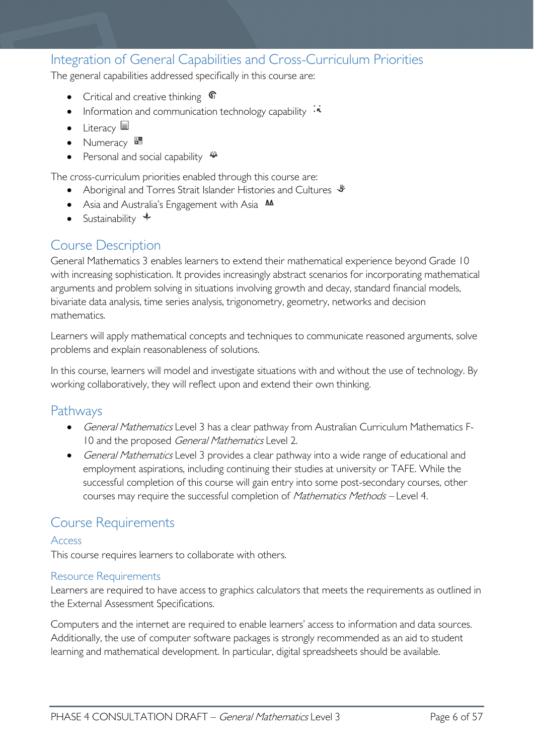## Integration of General Capabilities and Cross-Curriculum Priorities

The general capabilities addressed specifically in this course are:

- Critical and creative thinking  $\epsilon$
- Information and communication technology capability  $\cdot \star$
- Literacy
- Numeracy
- Personal and social capability  $\ddot{\ddot{}}$

The cross-curriculum priorities enabled through this course are:

- Aboriginal and Torres Strait Islander Histories and Cultures  $\mathcal$
- Asia and Australia's Engagement with Asia AA
- Sustainability  $\triangleleft$

## <span id="page-5-0"></span>Course Description

General Mathematics 3 enables learners to extend their mathematical experience beyond Grade 10 with increasing sophistication. It provides increasingly abstract scenarios for incorporating mathematical arguments and problem solving in situations involving growth and decay, standard financial models, bivariate data analysis, time series analysis, trigonometry, geometry, networks and decision mathematics.

Learners will apply mathematical concepts and techniques to communicate reasoned arguments, solve problems and explain reasonableness of solutions.

In this course, learners will model and investigate situations with and without the use of technology. By working collaboratively, they will reflect upon and extend their own thinking.

## <span id="page-5-1"></span>Pathways

- General Mathematics Level 3 has a clear pathway from Australian Curriculum Mathematics F-10 and the proposed General Mathematics Level 2.
- General Mathematics Level 3 provides a clear pathway into a wide range of educational and employment aspirations, including continuing their studies at university or TAFE. While the successful completion of this course will gain entry into some post-secondary courses, other courses may require the successful completion of Mathematics Methods – Level 4.

## <span id="page-5-2"></span>Course Requirements

#### <span id="page-5-3"></span>Access

This course requires learners to collaborate with others.

#### <span id="page-5-4"></span>Resource Requirements

Learners are required to have access to graphics calculators that meets the requirements as outlined in the External Assessment Specifications.

Computers and the internet are required to enable learners' access to information and data sources. Additionally, the use of computer software packages is strongly recommended as an aid to student learning and mathematical development. In particular, digital spreadsheets should be available.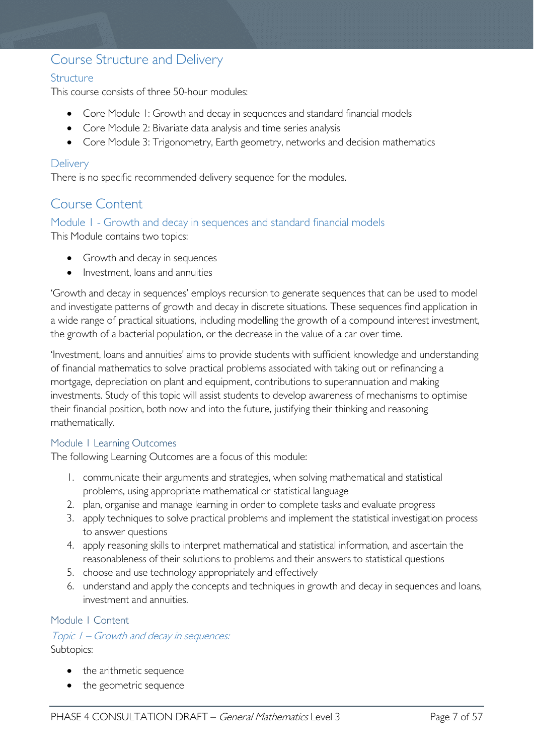## <span id="page-6-0"></span>Course Structure and Delivery

#### <span id="page-6-1"></span>**Structure**

This course consists of three 50-hour modules:

- Core Module 1: Growth and decay in sequences and standard financial models
- Core Module 2: Bivariate data analysis and time series analysis
- Core Module 3: Trigonometry, Earth geometry, networks and decision mathematics

#### <span id="page-6-2"></span>**Delivery**

There is no specific recommended delivery sequence for the modules.

## <span id="page-6-3"></span>Course Content

<span id="page-6-4"></span>Module 1 - Growth and decay in sequences and standard financial models

This Module contains two topics:

- Growth and decay in sequences
- Investment, loans and annuities

'Growth and decay in sequences' employs recursion to generate sequences that can be used to model and investigate patterns of growth and decay in discrete situations. These sequences find application in a wide range of practical situations, including modelling the growth of a compound interest investment, the growth of a bacterial population, or the decrease in the value of a car over time.

'Investment, loans and annuities' aims to provide students with sufficient knowledge and understanding of financial mathematics to solve practical problems associated with taking out or refinancing a mortgage, depreciation on plant and equipment, contributions to superannuation and making investments. Study of this topic will assist students to develop awareness of mechanisms to optimise their financial position, both now and into the future, justifying their thinking and reasoning mathematically.

#### <span id="page-6-5"></span>Module 1 Learning Outcomes

The following Learning Outcomes are a focus of this module:

- 1. communicate their arguments and strategies, when solving mathematical and statistical problems, using appropriate mathematical or statistical language
- 2. plan, organise and manage learning in order to complete tasks and evaluate progress
- 3. apply techniques to solve practical problems and implement the statistical investigation process to answer questions
- 4. apply reasoning skills to interpret mathematical and statistical information, and ascertain the reasonableness of their solutions to problems and their answers to statistical questions
- 5. choose and use technology appropriately and effectively
- 6. understand and apply the concepts and techniques in growth and decay in sequences and loans, investment and annuities.

#### <span id="page-6-6"></span>Module 1 Content

Topic 1 – Growth and decay in sequences: Subtopics:

- the arithmetic sequence
- the geometric sequence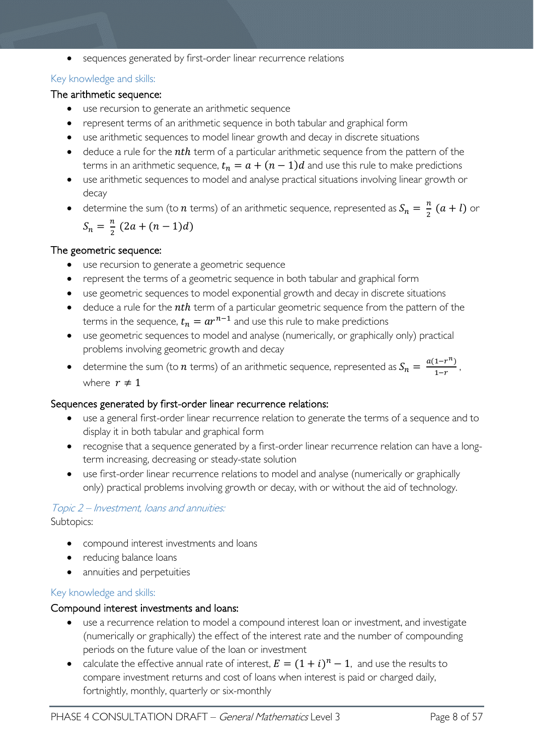• sequences generated by first-order linear recurrence relations

#### Key knowledge and skills:

#### The arithmetic sequence:

- use recursion to generate an arithmetic sequence
- represent terms of an arithmetic sequence in both tabular and graphical form
- use arithmetic sequences to model linear growth and decay in discrete situations
- deduce a rule for the  $nth$  term of a particular arithmetic sequence from the pattern of the terms in an arithmetic sequence,  $t_n = a + (n-1)d$  and use this rule to make predictions
- use arithmetic sequences to model and analyse practical situations involving linear growth or decay
- determine the sum (to  $n$  terms) of an arithmetic sequence, represented as  $S_n = \frac{n}{2}(a + l)$  or  $S_n = \frac{n}{2} (2a + (n-1)d)$

#### The geometric sequence:

- use recursion to generate a geometric sequence
- represent the terms of a geometric sequence in both tabular and graphical form
- use geometric sequences to model exponential growth and decay in discrete situations
- deduce a rule for the *nth* term of a particular geometric sequence from the pattern of the terms in the sequence,  $t_n = ar^{n-1}$  and use this rule to make predictions
- use geometric sequences to model and analyse (numerically, or graphically only) practical problems involving geometric growth and decay
- determine the sum (to  $n$  terms) of an arithmetic sequence, represented as  $S_n = \frac{a(1-r^n)}{1-r}$ , where  $r \neq 1$

#### Sequences generated by first-order linear recurrence relations:

- use a general first-order linear recurrence relation to generate the terms of a sequence and to display it in both tabular and graphical form
- recognise that a sequence generated by a first-order linear recurrence relation can have a longterm increasing, decreasing or steady-state solution
- use first-order linear recurrence relations to model and analyse (numerically or graphically only) practical problems involving growth or decay, with or without the aid of technology.

## Topic 2 – Investment, loans and annuities:

Subtopics:

- compound interest investments and loans
- reducing balance loans
- annuities and perpetuities

#### Key knowledge and skills:

#### Compound interest investments and loans:

- use a recurrence relation to model a compound interest loan or investment, and investigate (numerically or graphically) the effect of the interest rate and the number of compounding periods on the future value of the loan or investment
- calculate the effective annual rate of interest,  $E = (1 + i)^n 1$ , and use the results to compare investment returns and cost of loans when interest is paid or charged daily, fortnightly, monthly, quarterly or six-monthly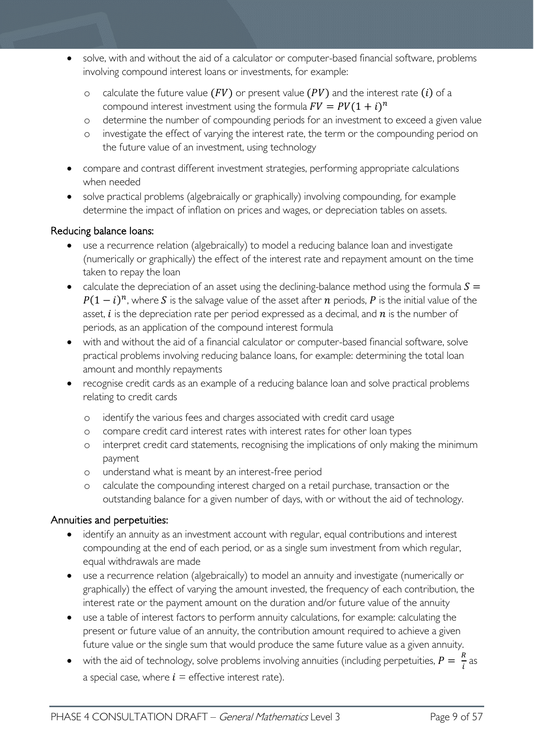- solve, with and without the aid of a calculator or computer-based financial software, problems involving compound interest loans or investments, for example:
	- o calculate the future value  $(FV)$  or present value  $(PV)$  and the interest rate  $(i)$  of a compound interest investment using the formula  $FV = PV(1 + i)^n$
	- o determine the number of compounding periods for an investment to exceed a given value
	- o investigate the effect of varying the interest rate, the term or the compounding period on the future value of an investment, using technology
- compare and contrast different investment strategies, performing appropriate calculations when needed
- solve practical problems (algebraically or graphically) involving compounding, for example determine the impact of inflation on prices and wages, or depreciation tables on assets.

#### Reducing balance loans:

- use a recurrence relation (algebraically) to model a reducing balance loan and investigate (numerically or graphically) the effect of the interest rate and repayment amount on the time taken to repay the loan
- calculate the depreciation of an asset using the declining-balance method using the formula  $S =$  $P(1 - i)^n$ , where S is the salvage value of the asset after *n* periods, P is the initial value of the asset,  $i$  is the depreciation rate per period expressed as a decimal, and  $n$  is the number of periods, as an application of the compound interest formula
- with and without the aid of a financial calculator or computer-based financial software, solve practical problems involving reducing balance loans, for example: determining the total loan amount and monthly repayments
- recognise credit cards as an example of a reducing balance loan and solve practical problems relating to credit cards
	- o identify the various fees and charges associated with credit card usage
	- o compare credit card interest rates with interest rates for other loan types
	- o interpret credit card statements, recognising the implications of only making the minimum payment
	- o understand what is meant by an interest-free period
	- o calculate the compounding interest charged on a retail purchase, transaction or the outstanding balance for a given number of days, with or without the aid of technology.

#### Annuities and perpetuities:

- identify an annuity as an investment account with regular, equal contributions and interest compounding at the end of each period, or as a single sum investment from which regular, equal withdrawals are made
- use a recurrence relation (algebraically) to model an annuity and investigate (numerically or graphically) the effect of varying the amount invested, the frequency of each contribution, the interest rate or the payment amount on the duration and/or future value of the annuity
- use a table of interest factors to perform annuity calculations, for example: calculating the present or future value of an annuity, the contribution amount required to achieve a given future value or the single sum that would produce the same future value as a given annuity.
- with the aid of technology, solve problems involving annuities (including perpetuities,  $P = \frac{R}{i}$  as a special case, where  $i =$  effective interest rate).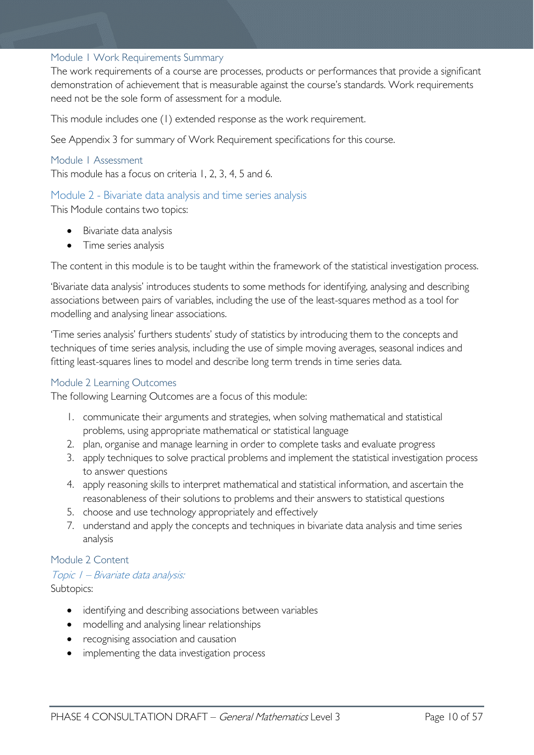#### <span id="page-9-0"></span>Module 1 Work Requirements Summary

The work requirements of a course are processes, products or performances that provide a significant demonstration of achievement that is measurable against the course's standards. Work requirements need not be the sole form of assessment for a module.

This module includes one (1) extended response as the work requirement.

See Appendix 3 for summary of Work Requirement specifications for this course.

#### <span id="page-9-1"></span>Module 1 Assessment

This module has a focus on criteria 1, 2, 3, 4, 5 and 6.

#### <span id="page-9-2"></span>Module 2 - Bivariate data analysis and time series analysis

This Module contains two topics:

- Bivariate data analysis
- Time series analysis

The content in this module is to be taught within the framework of the statistical investigation process.

'Bivariate data analysis' introduces students to some methods for identifying, analysing and describing associations between pairs of variables, including the use of the least-squares method as a tool for modelling and analysing linear associations.

'Time series analysis' furthers students' study of statistics by introducing them to the concepts and techniques of time series analysis, including the use of simple moving averages, seasonal indices and fitting least-squares lines to model and describe long term trends in time series data.

#### <span id="page-9-3"></span>Module 2 Learning Outcomes

The following Learning Outcomes are a focus of this module:

- 1. communicate their arguments and strategies, when solving mathematical and statistical problems, using appropriate mathematical or statistical language
- 2. plan, organise and manage learning in order to complete tasks and evaluate progress
- 3. apply techniques to solve practical problems and implement the statistical investigation process to answer questions
- 4. apply reasoning skills to interpret mathematical and statistical information, and ascertain the reasonableness of their solutions to problems and their answers to statistical questions
- 5. choose and use technology appropriately and effectively
- 7. understand and apply the concepts and techniques in bivariate data analysis and time series analysis

#### <span id="page-9-4"></span>Module 2 Content

#### Topic 1 – Bivariate data analysis:

Subtopics:

- identifying and describing associations between variables
- modelling and analysing linear relationships
- recognising association and causation
- implementing the data investigation process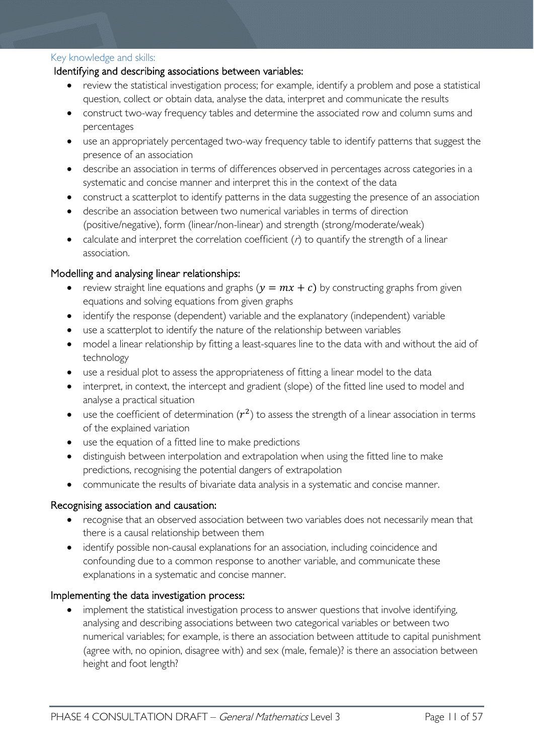#### Key knowledge and skills:

#### <span id="page-10-0"></span>Identifying and describing associations between variables:

- review the statistical investigation process; for example, identify a problem and pose a statistical question, collect or obtain data, analyse the data, interpret and communicate the results
- construct two-way frequency tables and determine the associated row and column sums and percentages
- use an appropriately percentaged two-way frequency table to identify patterns that suggest the presence of an association
- describe an association in terms of differences observed in percentages across categories in a systematic and concise manner and interpret this in the context of the data
- construct a scatterplot to identify patterns in the data suggesting the presence of an association
- describe an association between two numerical variables in terms of direction (positive/negative), form (linear/non-linear) and strength (strong/moderate/weak)
- calculate and interpret the correlation coefficient  $(r)$  to quantify the strength of a linear association.

#### Modelling and analysing linear relationships:

- review straight line equations and graphs  $(y = mx + c)$  by constructing graphs from given equations and solving equations from given graphs
- identify the response (dependent) variable and the explanatory (independent) variable
- use a scatterplot to identify the nature of the relationship between variables
- model a linear relationship by fitting a least-squares line to the data with and without the aid of technology
- use a residual plot to assess the appropriateness of fitting a linear model to the data
- interpret, in context, the intercept and gradient (slope) of the fitted line used to model and analyse a practical situation
- use the coefficient of determination  $(r^2)$  to assess the strength of a linear association in terms of the explained variation
- use the equation of a fitted line to make predictions
- distinguish between interpolation and extrapolation when using the fitted line to make predictions, recognising the potential dangers of extrapolation
- communicate the results of bivariate data analysis in a systematic and concise manner.

#### Recognising association and causation:

- recognise that an observed association between two variables does not necessarily mean that there is a causal relationship between them
- identify possible non-causal explanations for an association, including coincidence and confounding due to a common response to another variable, and communicate these explanations in a systematic and concise manner.

#### Implementing the data investigation process:

• implement the statistical investigation process to answer questions that involve identifying, analysing and describing associations between two categorical variables or between two numerical variables; for example, is there an association between attitude to capital punishment (agree with, no opinion, disagree with) and sex (male, female)? is there an association between height and foot length?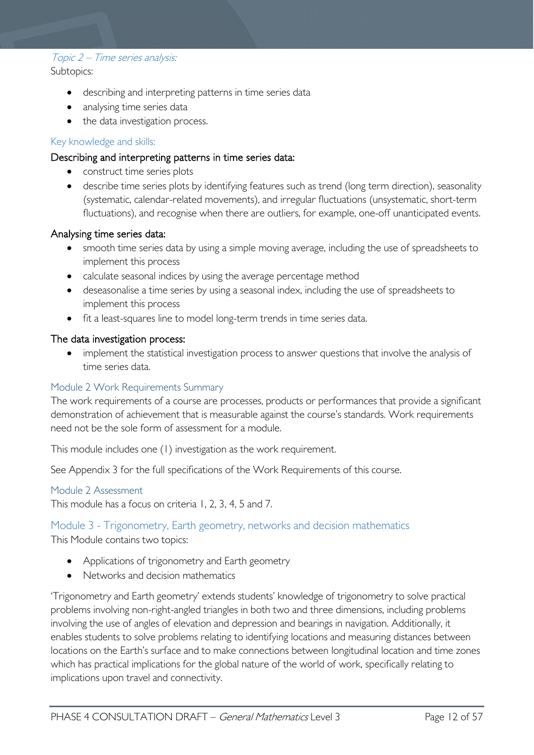#### Topic 2 – Time series analysis: Subtopics:

- describing and interpreting patterns in time series data
- analysing time series data
- the data investigation process.

#### Key knowledge and skills:

#### Describing and interpreting patterns in time series data:

- construct time series plots
- describe time series plots by identifying features such as trend (long term direction), seasonality (systematic, calendar-related movements), and irregular fluctuations (unsystematic, short-term fluctuations), and recognise when there are outliers, for example, one-off unanticipated events.

#### Analysing time series data:

- smooth time series data by using a simple moving average, including the use of spreadsheets to implement this process
- calculate seasonal indices by using the average percentage method
- deseasonalise a time series by using a seasonal index, including the use of spreadsheets to implement this process
- fit a least-squares line to model long-term trends in time series data.

#### The data investigation process:

implement the statistical investigation process to answer questions that involve the analysis of time series data.

#### <span id="page-11-0"></span>Module 2 Work Requirements Summary

The work requirements of a course are processes, products or performances that provide a significant demonstration of achievement that is measurable against the course's standards. Work requirements need not be the sole form of assessment for a module.

This module includes one (1) investigation as the work requirement.

See Appendix 3 for the full specifications of the Work Requirements of this course.

#### <span id="page-11-1"></span>Module 2 Assessment

This module has a focus on criteria 1, 2, 3, 4, 5 and 7.

#### <span id="page-11-2"></span>Module 3 - Trigonometry, Earth geometry, networks and decision mathematics

This Module contains two topics:

- Applications of trigonometry and Earth geometry
- Networks and decision mathematics

'Trigonometry and Earth geometry' extends students' knowledge of trigonometry to solve practical problems involving non-right-angled triangles in both two and three dimensions, including problems involving the use of angles of elevation and depression and bearings in navigation. Additionally, it enables students to solve problems relating to identifying locations and measuring distances between locations on the Earth's surface and to make connections between longitudinal location and time zones which has practical implications for the global nature of the world of work, specifically relating to implications upon travel and connectivity.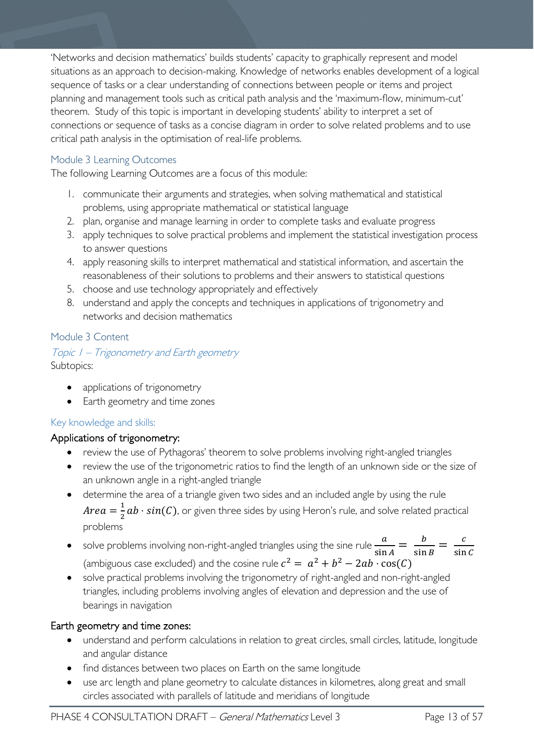'Networks and decision mathematics' builds students' capacity to graphically represent and model situations as an approach to decision-making. Knowledge of networks enables development of a logical sequence of tasks or a clear understanding of connections between people or items and project planning and management tools such as critical path analysis and the 'maximum-flow, minimum-cut' theorem. Study of this topic is important in developing students' ability to interpret a set of connections or sequence of tasks as a concise diagram in order to solve related problems and to use critical path analysis in the optimisation of real-life problems.

#### <span id="page-12-0"></span>Module 3 Learning Outcomes

The following Learning Outcomes are a focus of this module:

- 1. communicate their arguments and strategies, when solving mathematical and statistical problems, using appropriate mathematical or statistical language
- 2. plan, organise and manage learning in order to complete tasks and evaluate progress
- 3. apply techniques to solve practical problems and implement the statistical investigation process to answer questions
- 4. apply reasoning skills to interpret mathematical and statistical information, and ascertain the reasonableness of their solutions to problems and their answers to statistical questions
- 5. choose and use technology appropriately and effectively
- 8. understand and apply the concepts and techniques in applications of trigonometry and networks and decision mathematics

#### <span id="page-12-1"></span>Module 3 Content

Topic 1 – Trigonometry and Earth geometry Subtopics:

- applications of trigonometry
- Earth geometry and time zones

#### Key knowledge and skills:

#### Applications of trigonometry:

- review the use of Pythagoras' theorem to solve problems involving right-angled triangles
- review the use of the trigonometric ratios to find the length of an unknown side or the size of an unknown angle in a right-angled triangle
- determine the area of a triangle given two sides and an included angle by using the rule  $Area = \frac{1}{2}ab \cdot sin(C)$ , or given three sides by using Heron's rule, and solve related practical problems
- solve problems involving non-right-angled triangles using the sine rule  $\frac{a}{\sin A} = \frac{b}{\sin B} = \frac{c}{\sin C}$ (ambiguous case excluded) and the cosine rule  $c^2 = a^2 + b^2 - 2ab \cdot cos(C)$
- solve practical problems involving the trigonometry of right-angled and non-right-angled triangles, including problems involving angles of elevation and depression and the use of bearings in navigation

#### Earth geometry and time zones:

- understand and perform calculations in relation to great circles, small circles, latitude, longitude and angular distance
- find distances between two places on Earth on the same longitude
- use arc length and plane geometry to calculate distances in kilometres, along great and small circles associated with parallels of latitude and meridians of longitude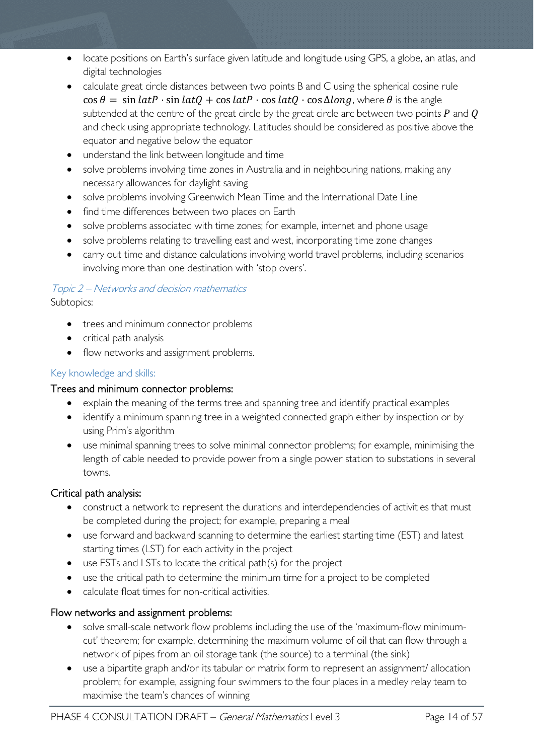- locate positions on Earth's surface given latitude and longitude using GPS, a globe, an atlas, and digital technologies
- calculate great circle distances between two points B and C using the spherical cosine rule  $\cos \theta = \sin \theta$  ·  $\sin \theta$  +  $\cos \theta$  +  $\cos \theta$  +  $\cos \theta$  +  $\cos \theta$  , where  $\theta$  is the angle subtended at the centre of the great circle by the great circle arc between two points  $P$  and  $Q$ and check using appropriate technology. Latitudes should be considered as positive above the equator and negative below the equator
- understand the link between longitude and time
- solve problems involving time zones in Australia and in neighbouring nations, making any necessary allowances for daylight saving
- solve problems involving Greenwich Mean Time and the International Date Line
- find time differences between two places on Earth
- solve problems associated with time zones; for example, internet and phone usage
- solve problems relating to travelling east and west, incorporating time zone changes
- carry out time and distance calculations involving world travel problems, including scenarios involving more than one destination with 'stop overs'.

## Topic 2 – Networks and decision mathematics

Subtopics:

- trees and minimum connector problems
- critical path analysis
- flow networks and assignment problems.

#### Key knowledge and skills:

#### Trees and minimum connector problems:

- explain the meaning of the terms tree and spanning tree and identify practical examples
- identify a minimum spanning tree in a weighted connected graph either by inspection or by using Prim's algorithm
- use minimal spanning trees to solve minimal connector problems; for example, minimising the length of cable needed to provide power from a single power station to substations in several towns.

#### Critical path analysis:

- construct a network to represent the durations and interdependencies of activities that must be completed during the project; for example, preparing a meal
- use forward and backward scanning to determine the earliest starting time (EST) and latest starting times (LST) for each activity in the project
- use ESTs and LSTs to locate the critical path(s) for the project
- use the critical path to determine the minimum time for a project to be completed
- calculate float times for non-critical activities.

#### Flow networks and assignment problems:

- solve small-scale network flow problems including the use of the 'maximum-flow minimumcut' theorem; for example, determining the maximum volume of oil that can flow through a network of pipes from an oil storage tank (the source) to a terminal (the sink)
- use a bipartite graph and/or its tabular or matrix form to represent an assignment/ allocation problem; for example, assigning four swimmers to the four places in a medley relay team to maximise the team's chances of winning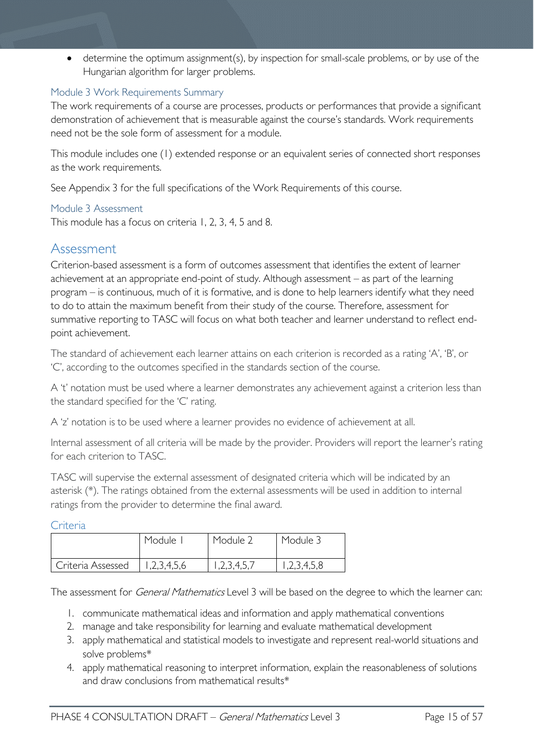• determine the optimum assignment(s), by inspection for small-scale problems, or by use of the Hungarian algorithm for larger problems.

#### <span id="page-14-0"></span>Module 3 Work Requirements Summary

The work requirements of a course are processes, products or performances that provide a significant demonstration of achievement that is measurable against the course's standards. Work requirements need not be the sole form of assessment for a module.

This module includes one (1) extended response or an equivalent series of connected short responses as the work requirements.

See Appendix 3 for the full specifications of the Work Requirements of this course.

#### <span id="page-14-1"></span>Module 3 Assessment

This module has a focus on criteria 1, 2, 3, 4, 5 and 8.

## <span id="page-14-2"></span>Assessment

<span id="page-14-3"></span>Criteria

Criterion-based assessment is a form of outcomes assessment that identifies the extent of learner achievement at an appropriate end-point of study. Although assessment – as part of the learning program – is continuous, much of it is formative, and is done to help learners identify what they need to do to attain the maximum benefit from their study of the course. Therefore, assessment for summative reporting to TASC will focus on what both teacher and learner understand to reflect endpoint achievement.

The standard of achievement each learner attains on each criterion is recorded as a rating 'A', 'B', or 'C', according to the outcomes specified in the standards section of the course.

A 't' notation must be used where a learner demonstrates any achievement against a criterion less than the standard specified for the 'C' rating.

A 'z' notation is to be used where a learner provides no evidence of achievement at all.

Internal assessment of all criteria will be made by the provider. Providers will report the learner's rating for each criterion to TASC.

TASC will supervise the external assessment of designated criteria which will be indicated by an asterisk (\*). The ratings obtained from the external assessments will be used in addition to internal ratings from the provider to determine the final award.

| --------          |            |           |             |
|-------------------|------------|-----------|-------------|
|                   | Module     | Module 2  | Module 3    |
| Criteria Assessed | ,2,3,4,5,6 | 2,3,4,5,7 | 1,2,3,4,5,8 |

The assessment for *General Mathematics* Level 3 will be based on the degree to which the learner can:

- 1. communicate mathematical ideas and information and apply mathematical conventions
- 2. manage and take responsibility for learning and evaluate mathematical development
- 3. apply mathematical and statistical models to investigate and represent real-world situations and solve problems\*
- 4. apply mathematical reasoning to interpret information, explain the reasonableness of solutions and draw conclusions from mathematical results\*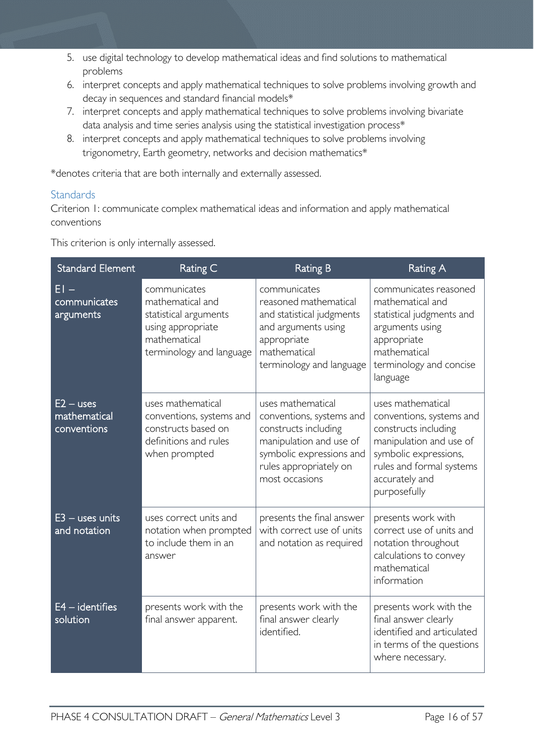- 5. use digital technology to develop mathematical ideas and find solutions to mathematical problems
- 6. interpret concepts and apply mathematical techniques to solve problems involving growth and decay in sequences and standard financial models\*
- 7. interpret concepts and apply mathematical techniques to solve problems involving bivariate data analysis and time series analysis using the statistical investigation process\*
- 8. interpret concepts and apply mathematical techniques to solve problems involving trigonometry, Earth geometry, networks and decision mathematics\*

\*denotes criteria that are both internally and externally assessed.

#### <span id="page-15-0"></span>**Standards**

Criterion 1: communicate complex mathematical ideas and information and apply mathematical conventions

This criterion is only internally assessed.

| <b>Standard Element</b>                    | Rating C                                                                                                                   | <b>Rating B</b>                                                                                                                                                          | <b>Rating A</b>                                                                                                                                                                         |
|--------------------------------------------|----------------------------------------------------------------------------------------------------------------------------|--------------------------------------------------------------------------------------------------------------------------------------------------------------------------|-----------------------------------------------------------------------------------------------------------------------------------------------------------------------------------------|
| $EI -$<br>communicates<br>arguments        | communicates<br>mathematical and<br>statistical arguments<br>using appropriate<br>mathematical<br>terminology and language | communicates<br>reasoned mathematical<br>and statistical judgments<br>and arguments using<br>appropriate<br>mathematical<br>terminology and language                     | communicates reasoned<br>mathematical and<br>statistical judgments and<br>arguments using<br>appropriate<br>mathematical<br>terminology and concise<br>language                         |
| $E2 - uses$<br>mathematical<br>conventions | uses mathematical<br>conventions, systems and<br>constructs based on<br>definitions and rules<br>when prompted             | uses mathematical<br>conventions, systems and<br>constructs including<br>manipulation and use of<br>symbolic expressions and<br>rules appropriately on<br>most occasions | uses mathematical<br>conventions, systems and<br>constructs including<br>manipulation and use of<br>symbolic expressions,<br>rules and formal systems<br>accurately and<br>purposefully |
| $E3 -$ uses units<br>and notation          | uses correct units and<br>notation when prompted<br>to include them in an<br>answer                                        | presents the final answer<br>with correct use of units<br>and notation as required                                                                                       | presents work with<br>correct use of units and<br>notation throughout<br>calculations to convey<br>mathematical<br>information                                                          |
| $E4 -$ identifies<br>solution              | presents work with the<br>final answer apparent.                                                                           | presents work with the<br>final answer clearly<br>identified.                                                                                                            | presents work with the<br>final answer clearly<br>identified and articulated<br>in terms of the questions<br>where necessary.                                                           |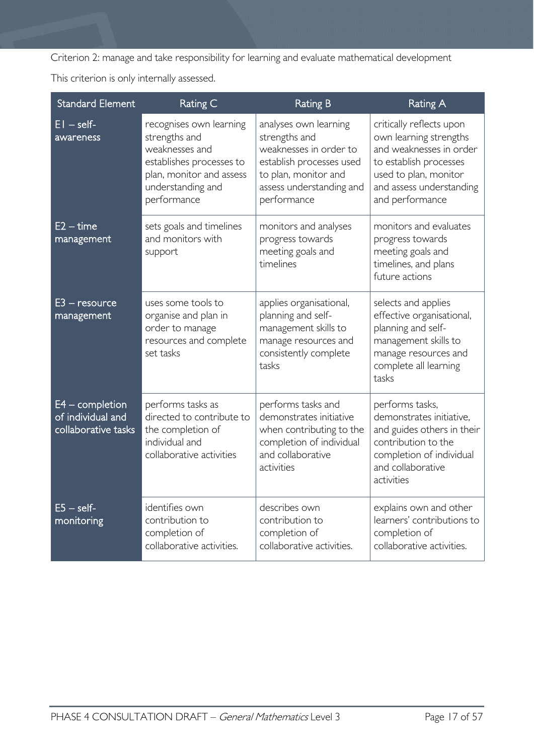Criterion 2: manage and take responsibility for learning and evaluate mathematical development

This criterion is only internally assessed.

| <b>Standard Element</b>                                       | Rating C                                                                                                                                               | <b>Rating B</b>                                                                                                                                                 | <b>Rating A</b>                                                                                                                                                                 |
|---------------------------------------------------------------|--------------------------------------------------------------------------------------------------------------------------------------------------------|-----------------------------------------------------------------------------------------------------------------------------------------------------------------|---------------------------------------------------------------------------------------------------------------------------------------------------------------------------------|
| $EI - self$<br>awareness                                      | recognises own learning<br>strengths and<br>weaknesses and<br>establishes processes to<br>plan, monitor and assess<br>understanding and<br>performance | analyses own learning<br>strengths and<br>weaknesses in order to<br>establish processes used<br>to plan, monitor and<br>assess understanding and<br>performance | critically reflects upon<br>own learning strengths<br>and weaknesses in order<br>to establish processes<br>used to plan, monitor<br>and assess understanding<br>and performance |
| $E2 - time$<br>management                                     | sets goals and timelines<br>and monitors with<br>support                                                                                               | monitors and analyses<br>progress towards<br>meeting goals and<br>timelines                                                                                     | monitors and evaluates<br>progress towards<br>meeting goals and<br>timelines, and plans<br>future actions                                                                       |
| $E3 -$ resource<br>management                                 | uses some tools to<br>organise and plan in<br>order to manage<br>resources and complete<br>set tasks                                                   | applies organisational,<br>planning and self-<br>management skills to<br>manage resources and<br>consistently complete<br>tasks                                 | selects and applies<br>effective organisational,<br>planning and self-<br>management skills to<br>manage resources and<br>complete all learning<br>tasks                        |
| $E4$ – completion<br>of individual and<br>collaborative tasks | performs tasks as<br>directed to contribute to<br>the completion of<br>individual and<br>collaborative activities                                      | performs tasks and<br>demonstrates initiative<br>when contributing to the<br>completion of individual<br>and collaborative<br>activities                        | performs tasks,<br>demonstrates initiative,<br>and guides others in their<br>contribution to the<br>completion of individual<br>and collaborative<br>activities                 |
| $E5 - self$<br>monitoring                                     | identifies own<br>contribution to<br>completion of<br>collaborative activities.                                                                        | describes own<br>contribution to<br>completion of<br>collaborative activities.                                                                                  | explains own and other<br>learners' contributions to<br>completion of<br>collaborative activities.                                                                              |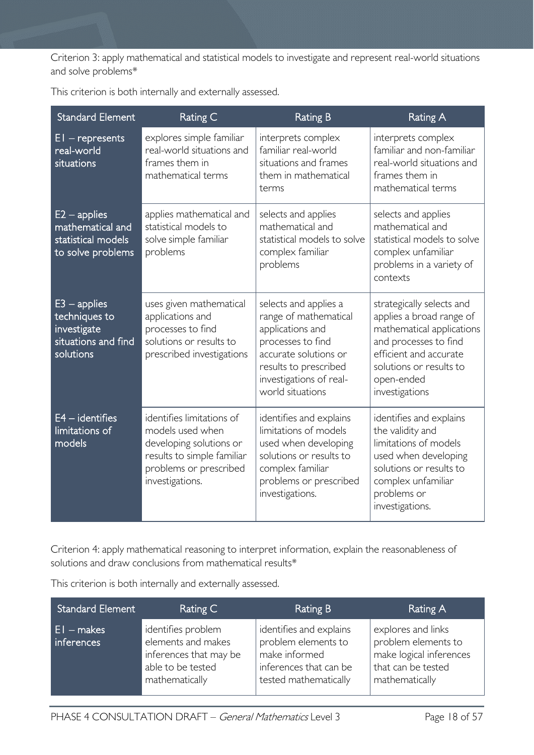Criterion 3: apply mathematical and statistical models to investigate and represent real-world situations and solve problems\*

| <b>Standard Element</b>                                                            | Rating C                                                                                                                                            | <b>Rating B</b>                                                                                                                                                                          | <b>Rating A</b>                                                                                                                                                                                  |
|------------------------------------------------------------------------------------|-----------------------------------------------------------------------------------------------------------------------------------------------------|------------------------------------------------------------------------------------------------------------------------------------------------------------------------------------------|--------------------------------------------------------------------------------------------------------------------------------------------------------------------------------------------------|
| $EI$ – represents<br>real-world<br>situations                                      | explores simple familiar<br>real-world situations and<br>frames them in<br>mathematical terms                                                       | interprets complex<br>familiar real-world<br>situations and frames<br>them in mathematical<br>terms                                                                                      | interprets complex<br>familiar and non-familiar<br>real-world situations and<br>frames them in<br>mathematical terms                                                                             |
| $E2 - applies$<br>mathematical and<br>statistical models<br>to solve problems      | applies mathematical and<br>statistical models to<br>solve simple familiar<br>problems                                                              | selects and applies<br>mathematical and<br>statistical models to solve<br>complex familiar<br>problems                                                                                   | selects and applies<br>mathematical and<br>statistical models to solve<br>complex unfamiliar<br>problems in a variety of<br>contexts                                                             |
| $E3$ – applies<br>techniques to<br>investigate<br>situations and find<br>solutions | uses given mathematical<br>applications and<br>processes to find<br>solutions or results to<br>prescribed investigations                            | selects and applies a<br>range of mathematical<br>applications and<br>processes to find<br>accurate solutions or<br>results to prescribed<br>investigations of real-<br>world situations | strategically selects and<br>applies a broad range of<br>mathematical applications<br>and processes to find<br>efficient and accurate<br>solutions or results to<br>open-ended<br>investigations |
| $E4 -$ identifies<br>limitations of<br>models                                      | identifies limitations of<br>models used when<br>developing solutions or<br>results to simple familiar<br>problems or prescribed<br>investigations. | identifies and explains<br>limitations of models<br>used when developing<br>solutions or results to<br>complex familiar<br>problems or prescribed<br>investigations.                     | identifies and explains<br>the validity and<br>limitations of models<br>used when developing<br>solutions or results to<br>complex unfamiliar<br>problems or<br>investigations.                  |

This criterion is both internally and externally assessed.

Criterion 4: apply mathematical reasoning to interpret information, explain the reasonableness of solutions and draw conclusions from mathematical results\*

| <b>Standard Element</b>    | Rating C                                                                                                  | Rating B                                                                                                           | Rating A                                                                                                     |
|----------------------------|-----------------------------------------------------------------------------------------------------------|--------------------------------------------------------------------------------------------------------------------|--------------------------------------------------------------------------------------------------------------|
| $E1 - makes$<br>inferences | identifies problem<br>elements and makes<br>inferences that may be<br>able to be tested<br>mathematically | identifies and explains<br>problem elements to<br>make informed<br>inferences that can be<br>tested mathematically | explores and links<br>problem elements to<br>make logical inferences<br>that can be tested<br>mathematically |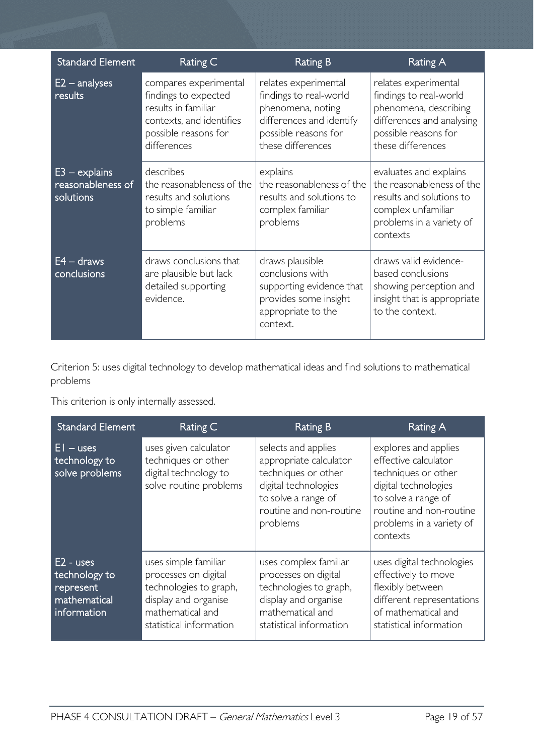| <b>Standard Element</b>                           | Rating C                                                                                                                                | <b>Rating B</b>                                                                                                                              | <b>Rating A</b>                                                                                                                                   |
|---------------------------------------------------|-----------------------------------------------------------------------------------------------------------------------------------------|----------------------------------------------------------------------------------------------------------------------------------------------|---------------------------------------------------------------------------------------------------------------------------------------------------|
| $E2 -$ analyses<br>results                        | compares experimental<br>findings to expected<br>results in familiar<br>contexts, and identifies<br>possible reasons for<br>differences | relates experimental<br>findings to real-world<br>phenomena, noting<br>differences and identify<br>possible reasons for<br>these differences | relates experimental<br>findings to real-world<br>phenomena, describing<br>differences and analysing<br>possible reasons for<br>these differences |
| $E3 - explains$<br>reasonableness of<br>solutions | describes<br>the reasonableness of the<br>results and solutions<br>to simple familiar<br>problems                                       | explains<br>the reasonableness of the<br>results and solutions to<br>complex familiar<br>problems                                            | evaluates and explains<br>the reasonableness of the<br>results and solutions to<br>complex unfamiliar<br>problems in a variety of<br>contexts     |
| $E4 - draws$<br>conclusions                       | draws conclusions that<br>are plausible but lack<br>detailed supporting<br>evidence.                                                    | draws plausible<br>conclusions with<br>supporting evidence that<br>provides some insight<br>appropriate to the<br>context.                   | draws valid evidence-<br>based conclusions<br>showing perception and<br>insight that is appropriate<br>to the context.                            |

Criterion 5: uses digital technology to develop mathematical ideas and find solutions to mathematical problems

This criterion is only internally assessed.

| <b>Standard Element</b>                                                  | Rating C                                                                                                                                      | Rating B                                                                                                                                                   | Rating A                                                                                                                                                                              |
|--------------------------------------------------------------------------|-----------------------------------------------------------------------------------------------------------------------------------------------|------------------------------------------------------------------------------------------------------------------------------------------------------------|---------------------------------------------------------------------------------------------------------------------------------------------------------------------------------------|
| $EI - uses$<br>technology to<br>solve problems                           | uses given calculator<br>techniques or other<br>digital technology to<br>solve routine problems                                               | selects and applies<br>appropriate calculator<br>techniques or other<br>digital technologies<br>to solve a range of<br>routine and non-routine<br>problems | explores and applies<br>effective calculator<br>techniques or other<br>digital technologies<br>to solve a range of<br>routine and non-routine<br>problems in a variety of<br>contexts |
| $E2 - uses$<br>technology to<br>represent<br>mathematical<br>information | uses simple familiar<br>processes on digital<br>technologies to graph,<br>display and organise<br>mathematical and<br>statistical information | uses complex familiar<br>processes on digital<br>technologies to graph,<br>display and organise<br>mathematical and<br>statistical information             | uses digital technologies<br>effectively to move<br>flexibly between<br>different representations<br>of mathematical and<br>statistical information                                   |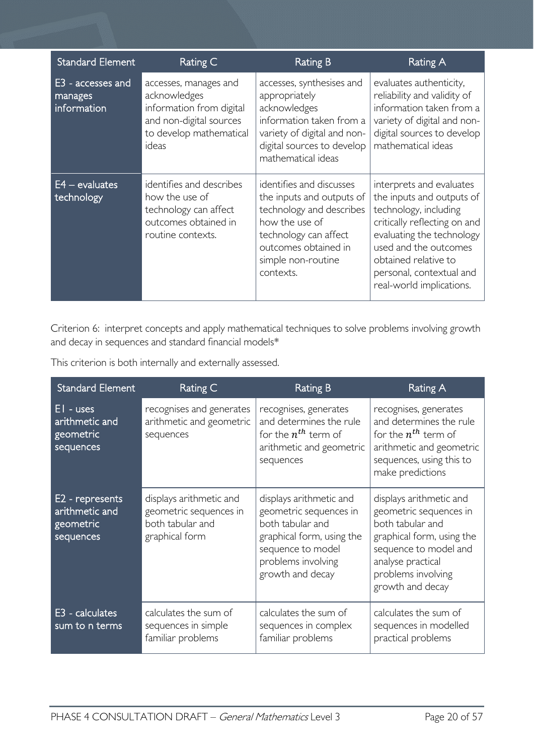| <b>Standard Element</b>                     | Rating C                                                                                                                         | <b>Rating B</b>                                                                                                                                                                         | Rating A                                                                                                                                                                                                                                             |
|---------------------------------------------|----------------------------------------------------------------------------------------------------------------------------------|-----------------------------------------------------------------------------------------------------------------------------------------------------------------------------------------|------------------------------------------------------------------------------------------------------------------------------------------------------------------------------------------------------------------------------------------------------|
| E3 - accesses and<br>manages<br>information | accesses, manages and<br>acknowledges<br>information from digital<br>and non-digital sources<br>to develop mathematical<br>ideas | accesses, synthesises and<br>appropriately<br>acknowledges<br>information taken from a<br>variety of digital and non-<br>digital sources to develop<br>mathematical ideas               | evaluates authenticity,<br>reliability and validity of<br>information taken from a<br>variety of digital and non-<br>digital sources to develop<br>mathematical ideas                                                                                |
| $E4 - evaluates$<br>technology              | identifies and describes<br>how the use of<br>technology can affect<br>outcomes obtained in<br>routine contexts.                 | identifies and discusses<br>the inputs and outputs of<br>technology and describes<br>how the use of<br>technology can affect<br>outcomes obtained in<br>simple non-routine<br>contexts. | interprets and evaluates<br>the inputs and outputs of<br>technology, including<br>critically reflecting on and<br>evaluating the technology<br>used and the outcomes<br>obtained relative to<br>personal, contextual and<br>real-world implications. |

Criterion 6: interpret concepts and apply mathematical techniques to solve problems involving growth and decay in sequences and standard financial models\*

| <b>Standard Element</b>                                     | Rating C                                                                                | <b>Rating B</b>                                                                                                                                                   | <b>Rating A</b>                                                                                                                                                                            |
|-------------------------------------------------------------|-----------------------------------------------------------------------------------------|-------------------------------------------------------------------------------------------------------------------------------------------------------------------|--------------------------------------------------------------------------------------------------------------------------------------------------------------------------------------------|
| $EI - uses$<br>arithmetic and<br>geometric<br>sequences     | recognises and generates<br>arithmetic and geometric<br>sequences                       | recognises, generates<br>and determines the rule<br>for the $n^{th}$ term of<br>arithmetic and geometric<br>sequences                                             | recognises, generates<br>and determines the rule<br>for the $n^{th}$ term of<br>arithmetic and geometric<br>sequences, using this to<br>make predictions                                   |
| E2 - represents<br>arithmetic and<br>geometric<br>sequences | displays arithmetic and<br>geometric sequences in<br>both tabular and<br>graphical form | displays arithmetic and<br>geometric sequences in<br>both tabular and<br>graphical form, using the<br>sequence to model<br>problems involving<br>growth and decay | displays arithmetic and<br>geometric sequences in<br>both tabular and<br>graphical form, using the<br>sequence to model and<br>analyse practical<br>problems involving<br>growth and decay |
| E3 - calculates<br>sum to n terms                           | calculates the sum of<br>sequences in simple<br>familiar problems                       | calculates the sum of<br>sequences in complex<br>familiar problems                                                                                                | calculates the sum of<br>sequences in modelled<br>practical problems                                                                                                                       |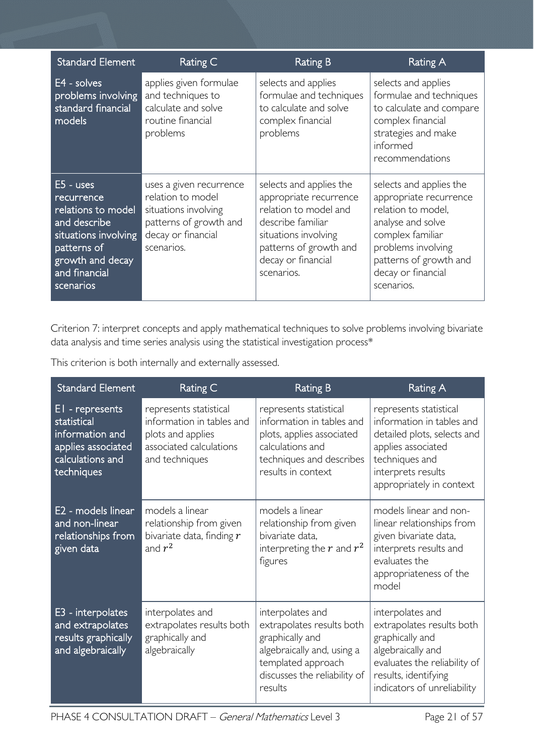| <b>Standard Element</b>                                                                                                                                  | Rating C                                                                                                                           | Rating B                                                                                                                                                                              | Rating A                                                                                                                                                                                             |
|----------------------------------------------------------------------------------------------------------------------------------------------------------|------------------------------------------------------------------------------------------------------------------------------------|---------------------------------------------------------------------------------------------------------------------------------------------------------------------------------------|------------------------------------------------------------------------------------------------------------------------------------------------------------------------------------------------------|
| $E4 - solves$<br>problems involving<br>standard financial<br>models                                                                                      | applies given formulae<br>and techniques to<br>calculate and solve<br>routine financial<br>problems                                | selects and applies<br>formulae and techniques<br>to calculate and solve<br>complex financial<br>problems                                                                             | selects and applies<br>formulae and techniques<br>to calculate and compare<br>complex financial<br>strategies and make<br>informed<br>recommendations                                                |
| $E5 - uses$<br>recurrence<br>relations to model<br>and describe<br>situations involving<br>patterns of<br>growth and decay<br>and financial<br>scenarios | uses a given recurrence<br>relation to model<br>situations involving<br>patterns of growth and<br>decay or financial<br>scenarios. | selects and applies the<br>appropriate recurrence<br>relation to model and<br>describe familiar<br>situations involving<br>patterns of growth and<br>decay or financial<br>scenarios. | selects and applies the<br>appropriate recurrence<br>relation to model,<br>analyse and solve<br>complex familiar<br>problems involving<br>patterns of growth and<br>decay or financial<br>scenarios. |

Criterion 7: interpret concepts and apply mathematical techniques to solve problems involving bivariate data analysis and time series analysis using the statistical investigation process\*

| <b>Standard Element</b>                                                                                   | Rating C                                                                                                              | <b>Rating B</b>                                                                                                                                                 | Rating A                                                                                                                                                                     |
|-----------------------------------------------------------------------------------------------------------|-----------------------------------------------------------------------------------------------------------------------|-----------------------------------------------------------------------------------------------------------------------------------------------------------------|------------------------------------------------------------------------------------------------------------------------------------------------------------------------------|
| EI - represents<br>statistical<br>information and<br>applies associated<br>calculations and<br>techniques | represents statistical<br>information in tables and<br>plots and applies<br>associated calculations<br>and techniques | represents statistical<br>information in tables and<br>plots, applies associated<br>calculations and<br>techniques and describes<br>results in context          | represents statistical<br>information in tables and<br>detailed plots, selects and<br>applies associated<br>techniques and<br>interprets results<br>appropriately in context |
| E2 - models linear<br>and non-linear<br>relationships from<br>given data                                  | models a linear<br>relationship from given<br>bivariate data, finding $r$<br>and $r^2$                                | models a linear<br>relationship from given<br>bivariate data,<br>interpreting the $r$ and $r^2$<br>figures                                                      | models linear and non-<br>linear relationships from<br>given bivariate data,<br>interprets results and<br>evaluates the<br>appropriateness of the<br>model                   |
| E3 - interpolates<br>and extrapolates<br>results graphically<br>and algebraically                         | interpolates and<br>extrapolates results both<br>graphically and<br>algebraically                                     | interpolates and<br>extrapolates results both<br>graphically and<br>algebraically and, using a<br>templated approach<br>discusses the reliability of<br>results | interpolates and<br>extrapolates results both<br>graphically and<br>algebraically and<br>evaluates the reliability of<br>results, identifying<br>indicators of unreliability |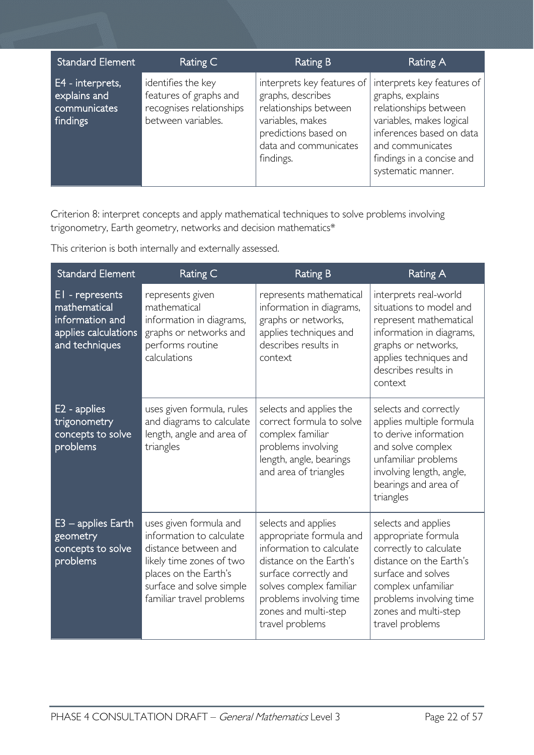| <b>Standard Element</b>                                      | Rating C                                                                                       | <b>Rating B</b>                                                                                                                                            | Rating A                                                                                                                                                                                               |
|--------------------------------------------------------------|------------------------------------------------------------------------------------------------|------------------------------------------------------------------------------------------------------------------------------------------------------------|--------------------------------------------------------------------------------------------------------------------------------------------------------------------------------------------------------|
| E4 - interprets,<br>explains and<br>communicates<br>findings | identifies the key<br>features of graphs and<br>recognises relationships<br>between variables. | interprets key features of<br>graphs, describes<br>relationships between<br>variables, makes<br>predictions based on<br>data and communicates<br>findings. | interprets key features of<br>graphs, explains<br>relationships between<br>variables, makes logical<br>inferences based on data<br>and communicates<br>findings in a concise and<br>systematic manner. |

Criterion 8: interpret concepts and apply mathematical techniques to solve problems involving trigonometry, Earth geometry, networks and decision mathematics\*

| <b>Standard Element</b>                                                                      | Rating C                                                                                                                                                                                | <b>Rating B</b>                                                                                                                                                                                                                 | Rating A                                                                                                                                                                                                          |
|----------------------------------------------------------------------------------------------|-----------------------------------------------------------------------------------------------------------------------------------------------------------------------------------------|---------------------------------------------------------------------------------------------------------------------------------------------------------------------------------------------------------------------------------|-------------------------------------------------------------------------------------------------------------------------------------------------------------------------------------------------------------------|
| EI - represents<br>mathematical<br>information and<br>applies calculations<br>and techniques | represents given<br>mathematical<br>information in diagrams,<br>graphs or networks and<br>performs routine<br>calculations                                                              | represents mathematical<br>information in diagrams,<br>graphs or networks,<br>applies techniques and<br>describes results in<br>context                                                                                         | interprets real-world<br>situations to model and<br>represent mathematical<br>information in diagrams,<br>graphs or networks,<br>applies techniques and<br>describes results in<br>context                        |
| E <sub>2</sub> - applies<br>trigonometry<br>concepts to solve<br>problems                    | uses given formula, rules<br>and diagrams to calculate<br>length, angle and area of<br>triangles                                                                                        | selects and applies the<br>correct formula to solve<br>complex familiar<br>problems involving<br>length, angle, bearings<br>and area of triangles                                                                               | selects and correctly<br>applies multiple formula<br>to derive information<br>and solve complex<br>unfamiliar problems<br>involving length, angle,<br>bearings and area of<br>triangles                           |
| $E3$ – applies Earth<br>geometry<br>concepts to solve<br>problems                            | uses given formula and<br>information to calculate<br>distance between and<br>likely time zones of two<br>places on the Earth's<br>surface and solve simple<br>familiar travel problems | selects and applies<br>appropriate formula and<br>information to calculate<br>distance on the Earth's<br>surface correctly and<br>solves complex familiar<br>problems involving time<br>zones and multi-step<br>travel problems | selects and applies<br>appropriate formula<br>correctly to calculate<br>distance on the Earth's<br>surface and solves<br>complex unfamiliar<br>problems involving time<br>zones and multi-step<br>travel problems |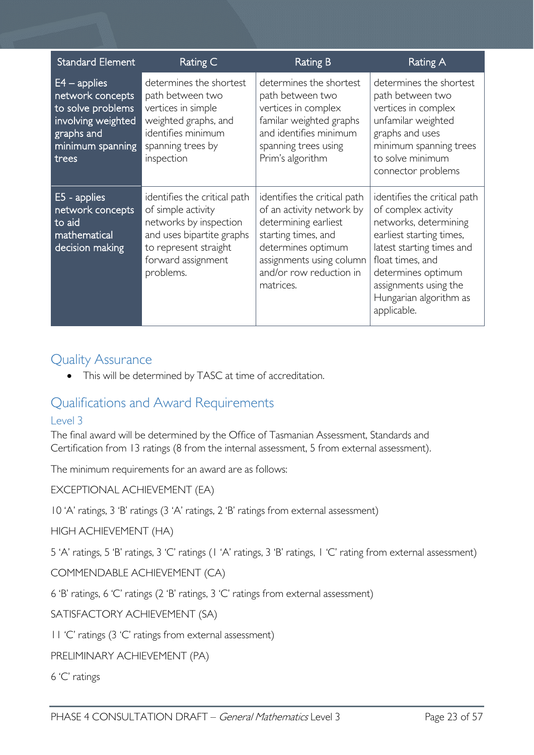| <b>Standard Element</b>                                                                                                  | Rating C                                                                                                                                                              | <b>Rating B</b>                                                                                                                                                                                    | Rating A                                                                                                                                                                                                                                          |
|--------------------------------------------------------------------------------------------------------------------------|-----------------------------------------------------------------------------------------------------------------------------------------------------------------------|----------------------------------------------------------------------------------------------------------------------------------------------------------------------------------------------------|---------------------------------------------------------------------------------------------------------------------------------------------------------------------------------------------------------------------------------------------------|
| $E4$ – applies<br>network concepts<br>to solve problems<br>involving weighted<br>graphs and<br>minimum spanning<br>trees | determines the shortest<br>path between two<br>vertices in simple<br>weighted graphs, and<br>identifies minimum<br>spanning trees by<br>inspection                    | determines the shortest<br>path between two<br>vertices in complex<br>familar weighted graphs<br>and identifies minimum<br>spanning trees using<br>Prim's algorithm                                | determines the shortest<br>path between two<br>vertices in complex<br>unfamilar weighted<br>graphs and uses<br>minimum spanning trees<br>to solve minimum<br>connector problems                                                                   |
| E5 - applies<br>network concepts<br>to aid<br>mathematical<br>decision making                                            | identifies the critical path<br>of simple activity<br>networks by inspection<br>and uses bipartite graphs<br>to represent straight<br>forward assignment<br>problems. | identifies the critical path<br>of an activity network by<br>determining earliest<br>starting times, and<br>determines optimum<br>assignments using column<br>and/or row reduction in<br>matrices. | identifies the critical path<br>of complex activity<br>networks, determining<br>earliest starting times,<br>latest starting times and<br>float times, and<br>determines optimum<br>assignments using the<br>Hungarian algorithm as<br>applicable. |

## <span id="page-22-0"></span>Quality Assurance

• This will be determined by TASC at time of accreditation.

## <span id="page-22-1"></span>Qualifications and Award Requirements

## <span id="page-22-2"></span>Level 3

The final award will be determined by the Office of Tasmanian Assessment, Standards and Certification from 13 ratings (8 from the internal assessment, 5 from external assessment).

The minimum requirements for an award are as follows:

EXCEPTIONAL ACHIEVEMENT (EA)

10 'A' ratings, 3 'B' ratings (3 'A' ratings, 2 'B' ratings from external assessment)

HIGH ACHIEVEMENT (HA)

5 'A' ratings, 5 'B' ratings, 3 'C' ratings (1 'A' ratings, 3 'B' ratings, 1 'C' rating from external assessment)

COMMENDABLE ACHIEVEMENT (CA)

6 'B' ratings, 6 'C' ratings (2 'B' ratings, 3 'C' ratings from external assessment)

SATISFACTORY ACHIEVEMENT (SA)

11 'C' ratings (3 'C' ratings from external assessment)

PRELIMINARY ACHIEVEMENT (PA)

6 'C' ratings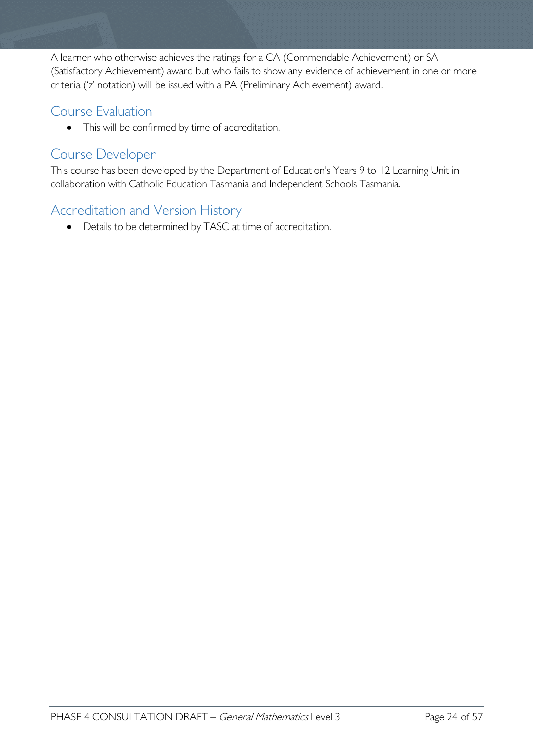A learner who otherwise achieves the ratings for a CA (Commendable Achievement) or SA (Satisfactory Achievement) award but who fails to show any evidence of achievement in one or more criteria ('z' notation) will be issued with a PA (Preliminary Achievement) award.

# <span id="page-23-0"></span>Course Evaluation

• This will be confirmed by time of accreditation.

## <span id="page-23-1"></span>Course Developer

This course has been developed by the Department of Education's Years 9 to 12 Learning Unit in collaboration with Catholic Education Tasmania and Independent Schools Tasmania.

# <span id="page-23-2"></span>Accreditation and Version History

• Details to be determined by TASC at time of accreditation.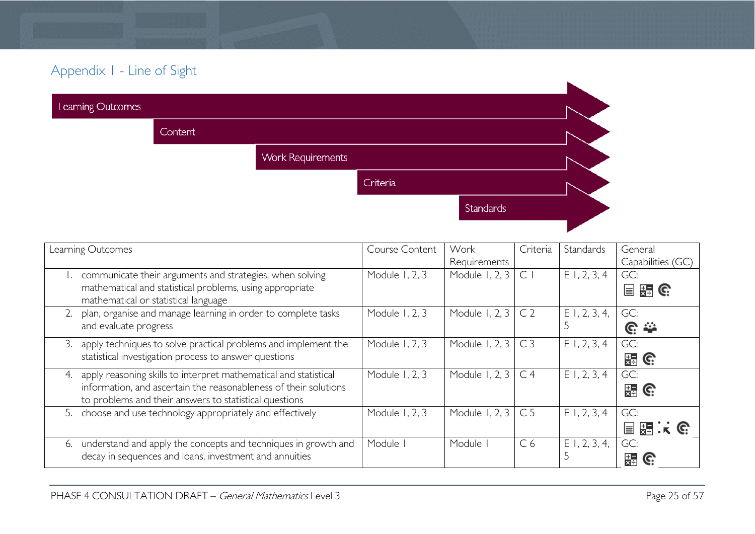# Appendix 1 - Line of Sight

| Learning Outcomes |         |                          |          |                  |  |
|-------------------|---------|--------------------------|----------|------------------|--|
|                   | Content |                          |          |                  |  |
|                   |         | <b>Work Requirements</b> |          |                  |  |
|                   |         |                          | Criteria |                  |  |
|                   |         |                          |          | <b>Standards</b> |  |
|                   |         |                          |          |                  |  |

<span id="page-24-0"></span>

| Learning Outcomes                                                    | Course Content | Work                 | Criteria       | Standards       | General           |
|----------------------------------------------------------------------|----------------|----------------------|----------------|-----------------|-------------------|
|                                                                      |                | Requirements         |                |                 | Capabilities (GC) |
| communicate their arguments and strategies, when solving             | Module 1, 2, 3 | Module 1, 2, 3       | $\subset$      | $E$ 1, 2, 3, 4  | GC:               |
| mathematical and statistical problems, using appropriate             |                |                      |                |                 | 目語で               |
| mathematical or statistical language                                 |                |                      |                |                 |                   |
| plan, organise and manage learning in order to complete tasks<br>2.  | Module 1, 2, 3 | Module 1, 2, 3       | C <sub>2</sub> | $E$ 1, 2, 3, 4, | GC:               |
| and evaluate progress                                                |                |                      |                |                 | <u>ଙ</u> ୍କ       |
| apply techniques to solve practical problems and implement the<br>3. | Module 1, 2, 3 | Module 1, 2, 3   C 3 |                | $E$ 1, 2, 3, 4  | GC:               |
| statistical investigation process to answer questions                |                |                      |                |                 | 出 G               |
| 4. apply reasoning skills to interpret mathematical and statistical  | Module 1, 2, 3 | Module 1, 2, 3       | C <sub>4</sub> | $E$ 1, 2, 3, 4  | GC:               |
| information, and ascertain the reasonableness of their solutions     |                |                      |                |                 | $\frac{1}{24}$ G  |
| to problems and their answers to statistical questions               |                |                      |                |                 |                   |
| 5. choose and use technology appropriately and effectively           | Module 1, 2, 3 | Module 1, 2, 3       | C <sub>5</sub> | E1, 2, 3, 4     | GC:               |
|                                                                      |                |                      |                |                 | 国語:《哈             |
| 6. understand and apply the concepts and techniques in growth and    | Module         | Module I             | C <sub>6</sub> | $E$ 1, 2, 3, 4, | GC:               |
| decay in sequences and loans, investment and annuities               |                |                      |                |                 | 뚦                 |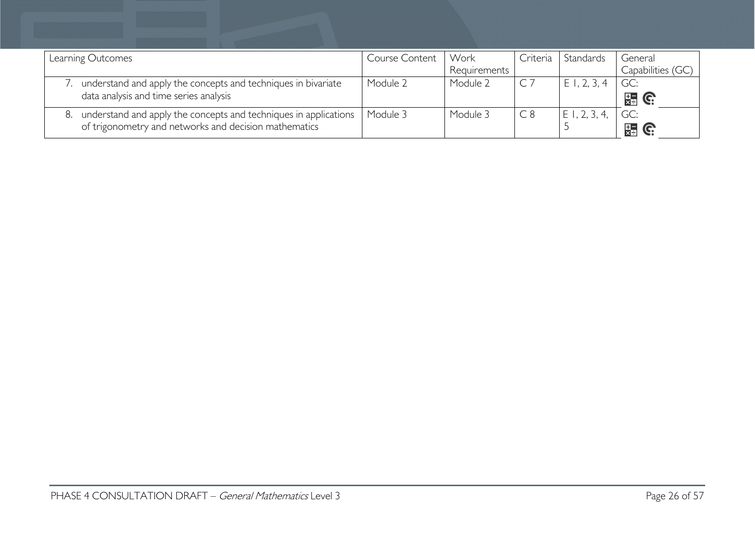| Learning Outcomes                                                | <b>Course Content</b> | Work         | Criteria | Standards      | General           |
|------------------------------------------------------------------|-----------------------|--------------|----------|----------------|-------------------|
|                                                                  |                       | Requirements |          |                | Capabilities (GC) |
| understand and apply the concepts and techniques in bivariate    | Module 2              | Module 2     |          | $E$ I, 2, 3, 4 | GC:               |
| data analysis and time series analysis                           |                       |              |          |                | 翡 G               |
| understand and apply the concepts and techniques in applications | Module 3              | Module 3     | C8       | E1, 2, 3, 4    | GC:               |
| of trigonometry and networks and decision mathematics            |                       |              |          |                | $\mathbb{R}$ G:   |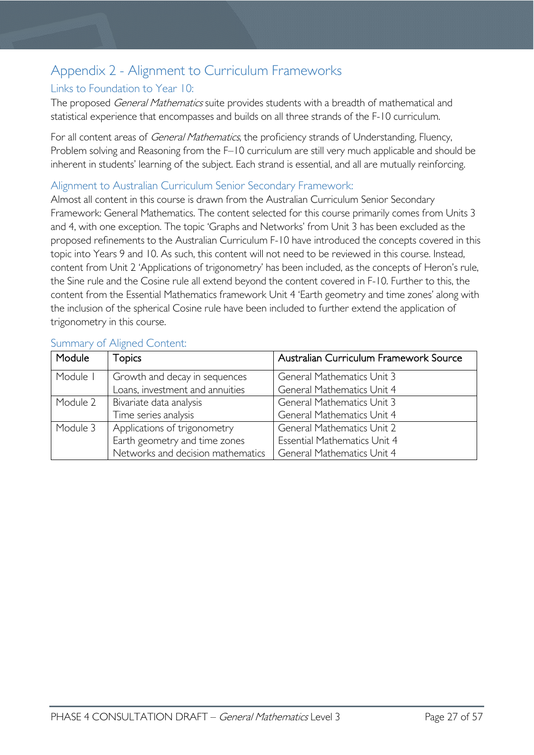# <span id="page-26-0"></span>Appendix 2 - Alignment to Curriculum Frameworks

#### <span id="page-26-1"></span>Links to Foundation to Year 10:

The proposed *General Mathematics* suite provides students with a breadth of mathematical and statistical experience that encompasses and builds on all three strands of the F-10 curriculum.

For all content areas of General Mathematics, the proficiency strands of Understanding, Fluency, Problem solving and Reasoning from the F–10 curriculum are still very much applicable and should be inherent in students' learning of the subject. Each strand is essential, and all are mutually reinforcing.

#### <span id="page-26-2"></span>Alignment to Australian Curriculum Senior Secondary Framework:

Almost all content in this course is drawn from the Australian Curriculum Senior Secondary Framework: General Mathematics. The content selected for this course primarily comes from Units 3 and 4, with one exception. The topic 'Graphs and Networks' from Unit 3 has been excluded as the proposed refinements to the Australian Curriculum F-10 have introduced the concepts covered in this topic into Years 9 and 10. As such, this content will not need to be reviewed in this course. Instead, content from Unit 2 'Applications of trigonometry' has been included, as the concepts of Heron's rule, the Sine rule and the Cosine rule all extend beyond the content covered in F-10. Further to this, the content from the Essential Mathematics framework Unit 4 'Earth geometry and time zones' along with the inclusion of the spherical Cosine rule have been included to further extend the application of trigonometry in this course.

<span id="page-26-4"></span>

| Module   | <b>Topics</b>                     | Australian Curriculum Framework Source |
|----------|-----------------------------------|----------------------------------------|
| Module I | Growth and decay in sequences     | <b>General Mathematics Unit 3</b>      |
|          | Loans, investment and annuities   | General Mathematics Unit 4             |
| Module 2 | Bivariate data analysis           | <b>General Mathematics Unit 3</b>      |
|          | Time series analysis              | General Mathematics Unit 4             |
| Module 3 | Applications of trigonometry      | <b>General Mathematics Unit 2</b>      |
|          | Earth geometry and time zones     | <b>Essential Mathematics Unit 4</b>    |
|          | Networks and decision mathematics | <b>General Mathematics Unit 4</b>      |

#### <span id="page-26-3"></span>Summary of Aligned Content: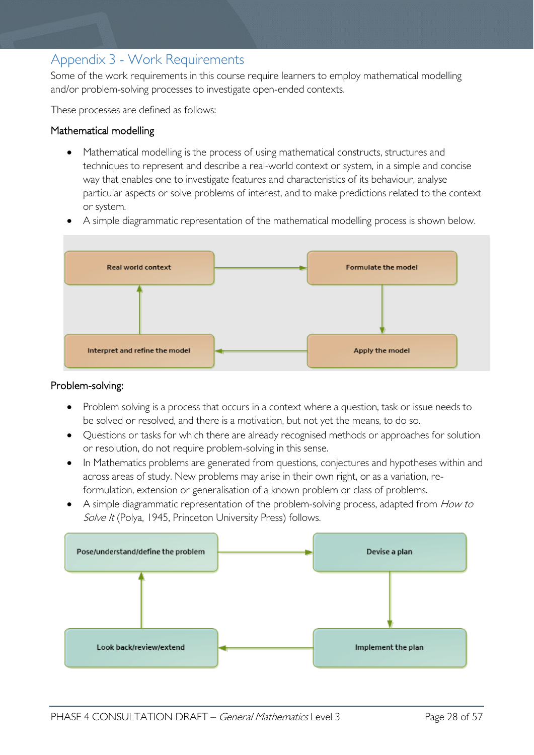# Appendix 3 - Work Requirements

Some of the work requirements in this course require learners to employ mathematical modelling and/or problem-solving processes to investigate open-ended contexts.

These processes are defined as follows:

#### Mathematical modelling

- Mathematical modelling is the process of using mathematical constructs, structures and techniques to represent and describe a real-world context or system, in a simple and concise way that enables one to investigate features and characteristics of its behaviour, analyse particular aspects or solve problems of interest, and to make predictions related to the context or system.
- A simple diagrammatic representation of the mathematical modelling process is shown below.



#### Problem-solving:

- Problem solving is a process that occurs in a context where a question, task or issue needs to be solved or resolved, and there is a motivation, but not yet the means, to do so.
- Questions or tasks for which there are already recognised methods or approaches for solution or resolution, do not require problem-solving in this sense.
- In Mathematics problems are generated from questions, conjectures and hypotheses within and across areas of study. New problems may arise in their own right, or as a variation, reformulation, extension or generalisation of a known problem or class of problems.
- A simple diagrammatic representation of the problem-solving process, adapted from How to Solve It (Polya, 1945, Princeton University Press) follows.

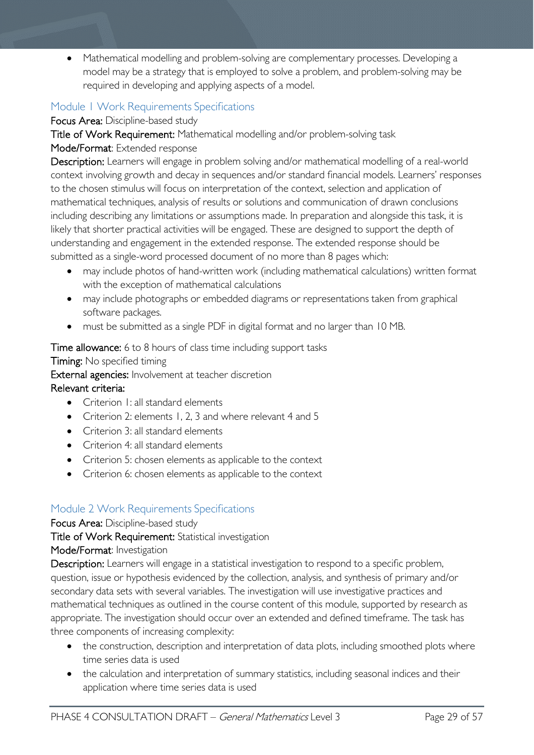• Mathematical modelling and problem-solving are complementary processes. Developing a model may be a strategy that is employed to solve a problem, and problem-solving may be required in developing and applying aspects of a model.

## <span id="page-28-0"></span>Module 1 Work Requirements Specifications

Focus Area: Discipline-based study

Title of Work Requirement: Mathematical modelling and/or problem-solving task

#### Mode/Format: Extended response

Description: Learners will engage in problem solving and/or mathematical modelling of a real-world context involving growth and decay in sequences and/or standard financial models. Learners' responses to the chosen stimulus will focus on interpretation of the context, selection and application of mathematical techniques, analysis of results or solutions and communication of drawn conclusions including describing any limitations or assumptions made. In preparation and alongside this task, it is likely that shorter practical activities will be engaged. These are designed to support the depth of understanding and engagement in the extended response. The extended response should be submitted as a single-word processed document of no more than 8 pages which:

- may include photos of hand-written work (including mathematical calculations) written format with the exception of mathematical calculations
- may include photographs or embedded diagrams or representations taken from graphical software packages.
- must be submitted as a single PDF in digital format and no larger than 10 MB.

#### Time allowance: 6 to 8 hours of class time including support tasks

Timing: No specified timing

External agencies: Involvement at teacher discretion

#### Relevant criteria:

- Criterion 1: all standard elements
- Criterion 2: elements 1, 2, 3 and where relevant 4 and 5
- Criterion 3: all standard elements
- Criterion 4: all standard elements
- Criterion 5: chosen elements as applicable to the context
- Criterion 6: chosen elements as applicable to the context

## <span id="page-28-1"></span>Module 2 Work Requirements Specifications

#### Focus Area: Discipline-based study

Title of Work Requirement: Statistical investigation

#### Mode/Format: Investigation

Description: Learners will engage in a statistical investigation to respond to a specific problem, question, issue or hypothesis evidenced by the collection, analysis, and synthesis of primary and/or secondary data sets with several variables. The investigation will use investigative practices and mathematical techniques as outlined in the course content of this module, supported by research as appropriate. The investigation should occur over an extended and defined timeframe. The task has three components of increasing complexity:

- the construction, description and interpretation of data plots, including smoothed plots where time series data is used
- the calculation and interpretation of summary statistics, including seasonal indices and their application where time series data is used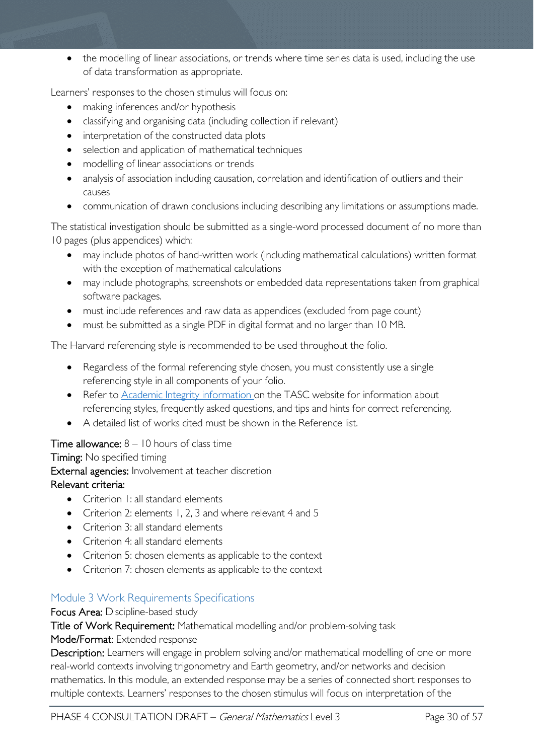• the modelling of linear associations, or trends where time series data is used, including the use of data transformation as appropriate.

Learners' responses to the chosen stimulus will focus on:

- making inferences and/or hypothesis
- classifying and organising data (including collection if relevant)
- interpretation of the constructed data plots
- selection and application of mathematical techniques
- modelling of linear associations or trends
- analysis of association including causation, correlation and identification of outliers and their causes
- communication of drawn conclusions including describing any limitations or assumptions made.

The statistical investigation should be submitted as a single-word processed document of no more than 10 pages (plus appendices) which:

- may include photos of hand-written work (including mathematical calculations) written format with the exception of mathematical calculations
- may include photographs, screenshots or embedded data representations taken from graphical software packages.
- must include references and raw data as appendices (excluded from page count)
- must be submitted as a single PDF in digital format and no larger than 10 MB.

The Harvard referencing style is recommended to be used throughout the folio.

- Regardless of the formal referencing style chosen, you must consistently use a single referencing style in all components of your folio.
- Refer to **Academic Integrity information** on the TASC website for information about referencing styles, frequently asked questions, and tips and hints for correct referencing.
- A detailed list of works cited must be shown in the Reference list.

#### **Time allowance:**  $8 - 10$  hours of class time

Timing: No specified timing External agencies: Involvement at teacher discretion Relevant criteria:

- Criterion 1: all standard elements
- Criterion 2: elements 1, 2, 3 and where relevant 4 and 5
- Criterion 3: all standard elements
- Criterion 4: all standard elements
- Criterion 5: chosen elements as applicable to the context
- Criterion 7: chosen elements as applicable to the context

## <span id="page-29-0"></span>Module 3 Work Requirements Specifications

#### Focus Area: Discipline-based study

Title of Work Requirement: Mathematical modelling and/or problem-solving task

#### Mode/Format: Extended response

Description: Learners will engage in problem solving and/or mathematical modelling of one or more real-world contexts involving trigonometry and Earth geometry, and/or networks and decision mathematics. In this module, an extended response may be a series of connected short responses to multiple contexts. Learners' responses to the chosen stimulus will focus on interpretation of the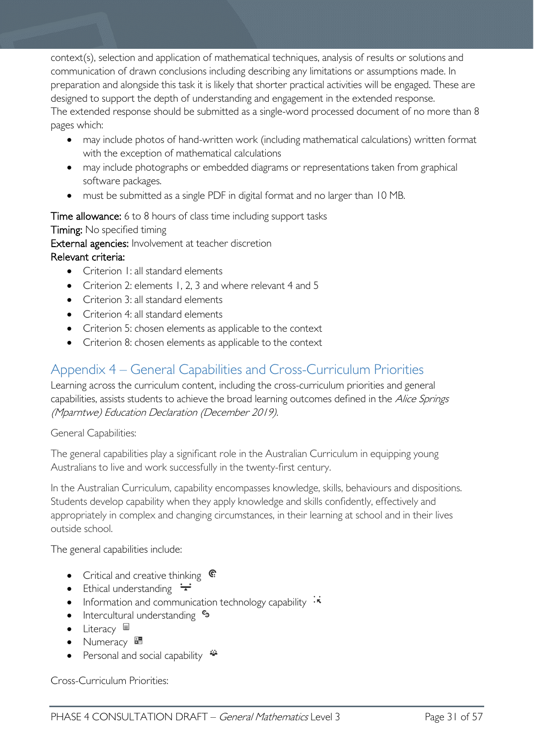context(s), selection and application of mathematical techniques, analysis of results or solutions and communication of drawn conclusions including describing any limitations or assumptions made. In preparation and alongside this task it is likely that shorter practical activities will be engaged. These are designed to support the depth of understanding and engagement in the extended response. The extended response should be submitted as a single-word processed document of no more than 8 pages which:

- may include photos of hand-written work (including mathematical calculations) written format with the exception of mathematical calculations
- may include photographs or embedded diagrams or representations taken from graphical software packages.
- must be submitted as a single PDF in digital format and no larger than 10 MB.

Time allowance: 6 to 8 hours of class time including support tasks Timing: No specified timing External agencies: Involvement at teacher discretion

## Relevant criteria:

- Criterion I: all standard elements
- Criterion 2: elements 1, 2, 3 and where relevant 4 and 5
- Criterion 3: all standard elements
- Criterion 4: all standard elements
- Criterion 5: chosen elements as applicable to the context
- Criterion 8: chosen elements as applicable to the context

# <span id="page-30-0"></span>Appendix 4 – General Capabilities and Cross-Curriculum Priorities

Learning across the curriculum content, including the cross-curriculum priorities and general capabilities, assists students to achieve the broad learning outcomes defined in the Alice Springs (Mparntwe) Education Declaration (December 2019).

General Capabilities:

The general capabilities play a significant role in the Australian Curriculum in equipping young Australians to live and work successfully in the twenty-first century.

In the Australian Curriculum, capability encompasses knowledge, skills, behaviours and dispositions. Students develop capability when they apply knowledge and skills confidently, effectively and appropriately in complex and changing circumstances, in their learning at school and in their lives outside school.

The general capabilities include:

- Critical and creative thinking  $\mathbb{C}$
- Ethical understanding  $\div$
- Information and communication technology capability  $\cdot \star$
- Intercultural understanding  $e_3$
- Literacy  $\blacksquare$
- Numeracy
- Personal and social capability  $\ddot{\bullet}$

Cross-Curriculum Priorities: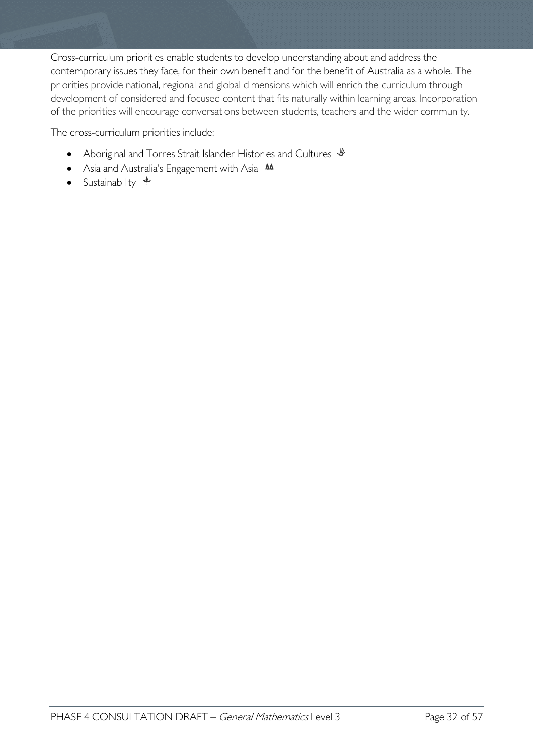Cross-curriculum priorities enable students to develop understanding about and address the contemporary issues they face, for their own benefit and for the benefit of Australia as a whole. The priorities provide national, regional and global dimensions which will enrich the curriculum through development of considered and focused content that fits naturally within learning areas. Incorporation of the priorities will encourage conversations between students, teachers and the wider community.

The cross-curriculum priorities include:

- Aboriginal and Torres Strait Islander Histories and Cultures  $\mathcal$
- Asia and Australia's Engagement with Asia **MA**
- Sustainability  $\triangleleft$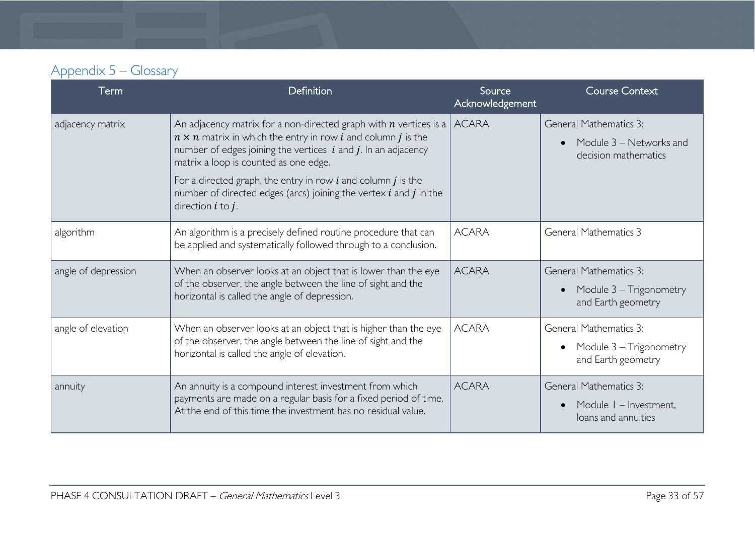| Appendix 5 – Glossary |  |
|-----------------------|--|
|-----------------------|--|

<span id="page-32-0"></span>

| Term                | Definition                                                                                                                                                                                                                                                                                                                                                                                                                                     | Source<br>Acknowledgement | <b>Course Context</b>                                                            |
|---------------------|------------------------------------------------------------------------------------------------------------------------------------------------------------------------------------------------------------------------------------------------------------------------------------------------------------------------------------------------------------------------------------------------------------------------------------------------|---------------------------|----------------------------------------------------------------------------------|
| adjacency matrix    | An adjacency matrix for a non-directed graph with $n$ vertices is a<br>$n \times n$ matrix in which the entry in row <i>i</i> and column <i>j</i> is the<br>number of edges joining the vertices $i$ and $j$ . In an adjacency<br>matrix a loop is counted as one edge.<br>For a directed graph, the entry in row $i$ and column $j$ is the<br>number of directed edges (arcs) joining the vertex $i$ and $j$ in the<br>direction $i$ to $j$ . | <b>ACARA</b>              | <b>General Mathematics 3:</b><br>Module 3 – Networks and<br>decision mathematics |
| algorithm           | An algorithm is a precisely defined routine procedure that can<br>be applied and systematically followed through to a conclusion.                                                                                                                                                                                                                                                                                                              | <b>ACARA</b>              | <b>General Mathematics 3</b>                                                     |
| angle of depression | When an observer looks at an object that is lower than the eye<br>of the observer, the angle between the line of sight and the<br>horizontal is called the angle of depression.                                                                                                                                                                                                                                                                | <b>ACARA</b>              | <b>General Mathematics 3:</b><br>Module $3 - Trigonometry$<br>and Earth geometry |
| angle of elevation  | When an observer looks at an object that is higher than the eye<br>of the observer, the angle between the line of sight and the<br>horizontal is called the angle of elevation.                                                                                                                                                                                                                                                                | <b>ACARA</b>              | General Mathematics 3:<br>Module 3 - Trigonometry<br>and Earth geometry          |
| annuity             | An annuity is a compound interest investment from which<br>payments are made on a regular basis for a fixed period of time.<br>At the end of this time the investment has no residual value.                                                                                                                                                                                                                                                   | <b>ACARA</b>              | <b>General Mathematics 3:</b><br>Module I - Investment.<br>loans and annuities   |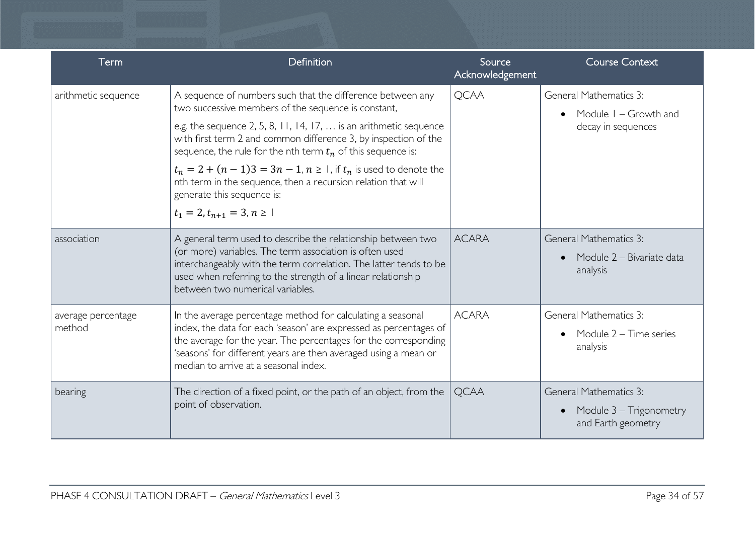| Term                         | Definition                                                                                                                                                                                                                                                                                                                                                                                                                                                                                                                                          | Source<br>Acknowledgement | <b>Course Context</b>                                                          |
|------------------------------|-----------------------------------------------------------------------------------------------------------------------------------------------------------------------------------------------------------------------------------------------------------------------------------------------------------------------------------------------------------------------------------------------------------------------------------------------------------------------------------------------------------------------------------------------------|---------------------------|--------------------------------------------------------------------------------|
| arithmetic sequence          | A sequence of numbers such that the difference between any<br>two successive members of the sequence is constant,<br>e.g. the sequence 2, 5, 8, 11, 14, 17, $\ldots$ is an arithmetic sequence<br>with first term 2 and common difference 3, by inspection of the<br>sequence, the rule for the nth term $t_n$ of this sequence is:<br>$t_n = 2 + (n - 1)3 = 3n - 1$ , $n \ge 1$ , if $t_n$ is used to denote the<br>nth term in the sequence, then a recursion relation that will<br>generate this sequence is:<br>$t_1 = 2, t_{n+1} = 3, n \ge 1$ | <b>QCAA</b>               | General Mathematics 3:<br>Module $I - Growth$ and<br>decay in sequences        |
| association                  | A general term used to describe the relationship between two<br>(or more) variables. The term association is often used<br>interchangeably with the term correlation. The latter tends to be<br>used when referring to the strength of a linear relationship<br>between two numerical variables.                                                                                                                                                                                                                                                    | <b>ACARA</b>              | <b>General Mathematics 3:</b><br>Module 2 – Bivariate data<br>analysis         |
| average percentage<br>method | In the average percentage method for calculating a seasonal<br>index, the data for each 'season' are expressed as percentages of<br>the average for the year. The percentages for the corresponding<br>'seasons' for different years are then averaged using a mean or<br>median to arrive at a seasonal index.                                                                                                                                                                                                                                     | <b>ACARA</b>              | <b>General Mathematics 3:</b><br>Module 2 - Time series<br>analysis            |
| bearing                      | The direction of a fixed point, or the path of an object, from the<br>point of observation.                                                                                                                                                                                                                                                                                                                                                                                                                                                         | <b>OCAA</b>               | <b>General Mathematics 3:</b><br>Module 3 – Trigonometry<br>and Earth geometry |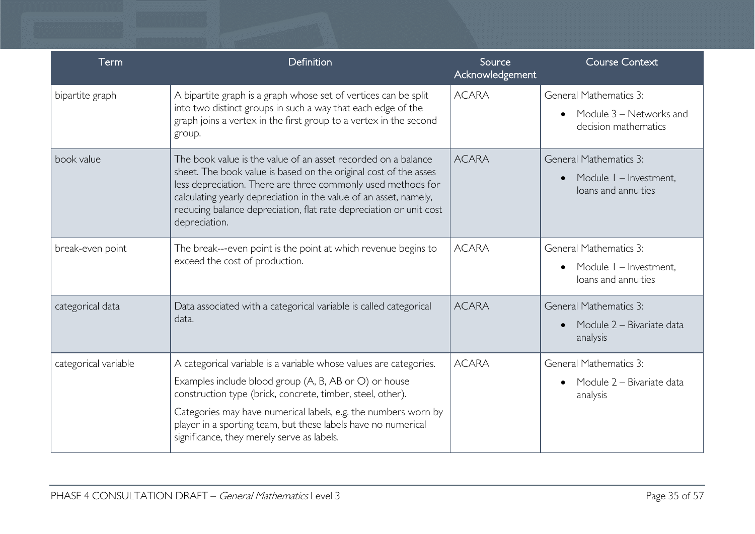| Term                 | Definition                                                                                                                                                                                                                                                                                                                                                                | Source<br>Acknowledgement | <b>Course Context</b>                                                                       |
|----------------------|---------------------------------------------------------------------------------------------------------------------------------------------------------------------------------------------------------------------------------------------------------------------------------------------------------------------------------------------------------------------------|---------------------------|---------------------------------------------------------------------------------------------|
| bipartite graph      | A bipartite graph is a graph whose set of vertices can be split<br>into two distinct groups in such a way that each edge of the<br>graph joins a vertex in the first group to a vertex in the second<br>group.                                                                                                                                                            | <b>ACARA</b>              | General Mathematics 3:<br>Module 3 - Networks and<br>decision mathematics                   |
| book value           | The book value is the value of an asset recorded on a balance<br>sheet. The book value is based on the original cost of the asses<br>less depreciation. There are three commonly used methods for<br>calculating yearly depreciation in the value of an asset, namely,<br>reducing balance depreciation, flat rate depreciation or unit cost<br>depreciation.             | <b>ACARA</b>              | <b>General Mathematics 3:</b><br>Module I - Investment,<br>$\bullet$<br>loans and annuities |
| break-even point     | The break---even point is the point at which revenue begins to<br>exceed the cost of production.                                                                                                                                                                                                                                                                          | <b>ACARA</b>              | <b>General Mathematics 3:</b><br>Module I - Investment,<br>loans and annuities              |
| categorical data     | Data associated with a categorical variable is called categorical<br>data.                                                                                                                                                                                                                                                                                                | <b>ACARA</b>              | <b>General Mathematics 3:</b><br>Module 2 – Bivariate data<br>analysis                      |
| categorical variable | A categorical variable is a variable whose values are categories.<br>Examples include blood group (A, B, AB or O) or house<br>construction type (brick, concrete, timber, steel, other).<br>Categories may have numerical labels, e.g. the numbers worn by<br>player in a sporting team, but these labels have no numerical<br>significance, they merely serve as labels. | <b>ACARA</b>              | General Mathematics 3:<br>Module 2 – Bivariate data<br>$\bullet$<br>analysis                |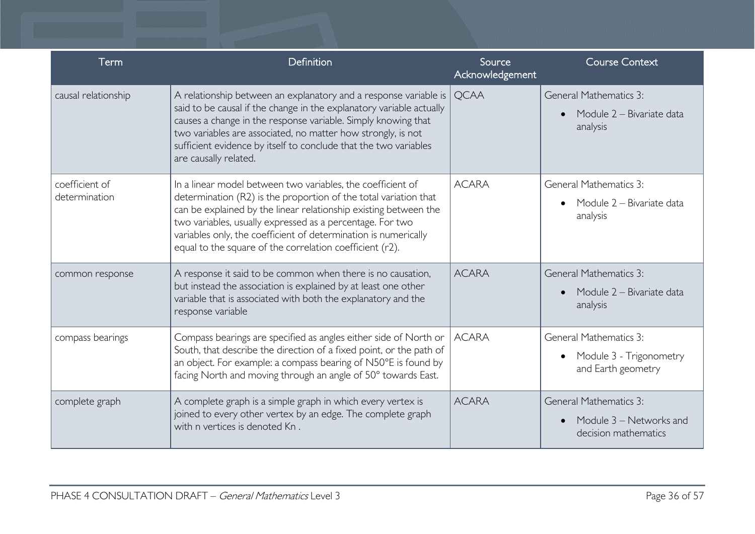| Term                            | Definition                                                                                                                                                                                                                                                                                                                                                                                      | Source<br>Acknowledgement | <b>Course Context</b>                                                            |
|---------------------------------|-------------------------------------------------------------------------------------------------------------------------------------------------------------------------------------------------------------------------------------------------------------------------------------------------------------------------------------------------------------------------------------------------|---------------------------|----------------------------------------------------------------------------------|
| causal relationship             | A relationship between an explanatory and a response variable is<br>said to be causal if the change in the explanatory variable actually<br>causes a change in the response variable. Simply knowing that<br>two variables are associated, no matter how strongly, is not<br>sufficient evidence by itself to conclude that the two variables<br>are causally related.                          | <b>OCAA</b>               | <b>General Mathematics 3:</b><br>Module 2 - Bivariate data<br>analysis           |
| coefficient of<br>determination | In a linear model between two variables, the coefficient of<br>determination (R2) is the proportion of the total variation that<br>can be explained by the linear relationship existing between the<br>two variables, usually expressed as a percentage. For two<br>variables only, the coefficient of determination is numerically<br>equal to the square of the correlation coefficient (r2). | <b>ACARA</b>              | <b>General Mathematics 3:</b><br>Module 2 - Bivariate data<br>analysis           |
| common response                 | A response it said to be common when there is no causation,<br>but instead the association is explained by at least one other<br>variable that is associated with both the explanatory and the<br>response variable                                                                                                                                                                             | <b>ACARA</b>              | <b>General Mathematics 3:</b><br>Module 2 - Bivariate data<br>analysis           |
| compass bearings                | Compass bearings are specified as angles either side of North or<br>South, that describe the direction of a fixed point, or the path of<br>an object. For example: a compass bearing of N50°E is found by<br>facing North and moving through an angle of 50° towards East.                                                                                                                      | <b>ACARA</b>              | <b>General Mathematics 3:</b><br>Module 3 - Trigonometry<br>and Earth geometry   |
| complete graph                  | A complete graph is a simple graph in which every vertex is<br>joined to every other vertex by an edge. The complete graph<br>with n vertices is denoted Kn.                                                                                                                                                                                                                                    | <b>ACARA</b>              | <b>General Mathematics 3:</b><br>Module 3 - Networks and<br>decision mathematics |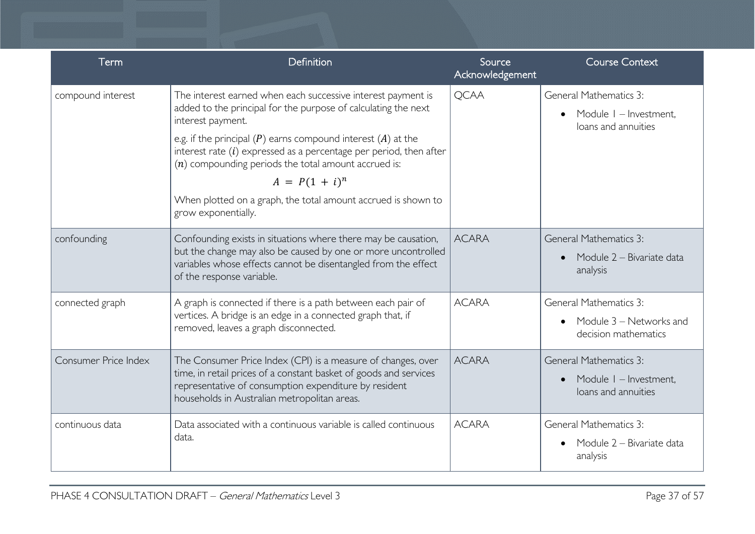| <b>Term</b>          | Definition                                                                                                                                                                                                                                                                                                                                                                                                                                                            | Source<br>Acknowledgement | <b>Course Context</b>                                                            |
|----------------------|-----------------------------------------------------------------------------------------------------------------------------------------------------------------------------------------------------------------------------------------------------------------------------------------------------------------------------------------------------------------------------------------------------------------------------------------------------------------------|---------------------------|----------------------------------------------------------------------------------|
| compound interest    | The interest earned when each successive interest payment is<br>added to the principal for the purpose of calculating the next<br>interest payment.<br>e.g. if the principal $(P)$ earns compound interest $(A)$ at the<br>interest rate $(i)$ expressed as a percentage per period, then after<br>$(n)$ compounding periods the total amount accrued is:<br>$A = P(1 + i)^n$<br>When plotted on a graph, the total amount accrued is shown to<br>grow exponentially. | <b>QCAA</b>               | <b>General Mathematics 3:</b><br>Module I - Investment,<br>loans and annuities   |
| confounding          | Confounding exists in situations where there may be causation,<br>but the change may also be caused by one or more uncontrolled<br>variables whose effects cannot be disentangled from the effect<br>of the response variable.                                                                                                                                                                                                                                        | <b>ACARA</b>              | <b>General Mathematics 3:</b><br>Module 2 - Bivariate data<br>analysis           |
| connected graph      | A graph is connected if there is a path between each pair of<br>vertices. A bridge is an edge in a connected graph that, if<br>removed, leaves a graph disconnected.                                                                                                                                                                                                                                                                                                  | <b>ACARA</b>              | <b>General Mathematics 3:</b><br>Module 3 – Networks and<br>decision mathematics |
| Consumer Price Index | The Consumer Price Index (CPI) is a measure of changes, over<br>time, in retail prices of a constant basket of goods and services<br>representative of consumption expenditure by resident<br>households in Australian metropolitan areas.                                                                                                                                                                                                                            | <b>ACARA</b>              | <b>General Mathematics 3:</b><br>Module I - Investment,<br>loans and annuities   |
| continuous data      | Data associated with a continuous variable is called continuous<br>data.                                                                                                                                                                                                                                                                                                                                                                                              | <b>ACARA</b>              | <b>General Mathematics 3:</b><br>Module 2 – Bivariate data<br>analysis           |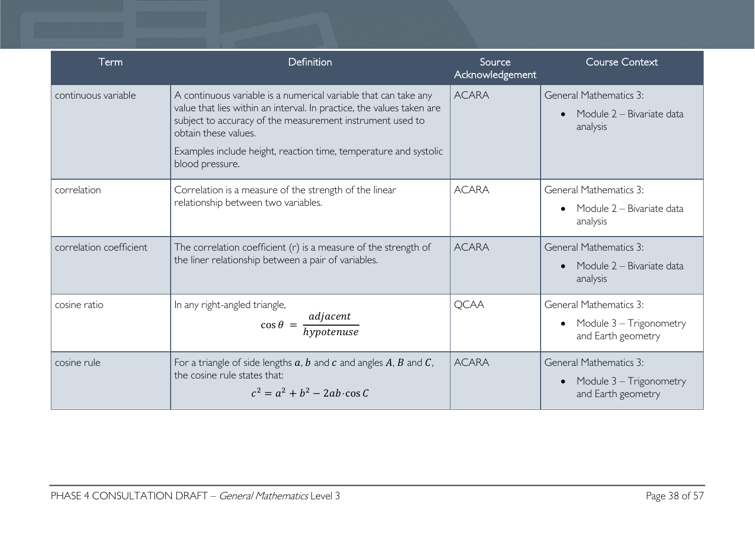| Term                    | Definition                                                                                                                                                                                                                                                                                                           | Source<br>Acknowledgement | <b>Course Context</b>                                                          |
|-------------------------|----------------------------------------------------------------------------------------------------------------------------------------------------------------------------------------------------------------------------------------------------------------------------------------------------------------------|---------------------------|--------------------------------------------------------------------------------|
| continuous variable     | A continuous variable is a numerical variable that can take any<br>value that lies within an interval. In practice, the values taken are<br>subject to accuracy of the measurement instrument used to<br>obtain these values.<br>Examples include height, reaction time, temperature and systolic<br>blood pressure. | <b>ACARA</b>              | <b>General Mathematics 3:</b><br>Module 2 - Bivariate data<br>analysis         |
| correlation             | Correlation is a measure of the strength of the linear<br>relationship between two variables.                                                                                                                                                                                                                        | <b>ACARA</b>              | <b>General Mathematics 3:</b><br>Module 2 - Bivariate data<br>analysis         |
| correlation coefficient | The correlation coefficient $(r)$ is a measure of the strength of<br>the liner relationship between a pair of variables.                                                                                                                                                                                             | <b>ACARA</b>              | <b>General Mathematics 3:</b><br>Module 2 – Bivariate data<br>analysis         |
| cosine ratio            | In any right-angled triangle,<br>$\cos \theta = \frac{adjacent}{hypotenuse}$                                                                                                                                                                                                                                         | <b>QCAA</b>               | <b>General Mathematics 3:</b><br>Module 3 - Trigonometry<br>and Earth geometry |
| cosine rule             | For a triangle of side lengths $a, b$ and $c$ and angles $A, B$ and $C$ ,<br>the cosine rule states that:<br>$c^2 = a^2 + b^2 - 2ab \cdot \cos C$                                                                                                                                                                    | <b>ACARA</b>              | <b>General Mathematics 3:</b><br>Module 3 - Trigonometry<br>and Earth geometry |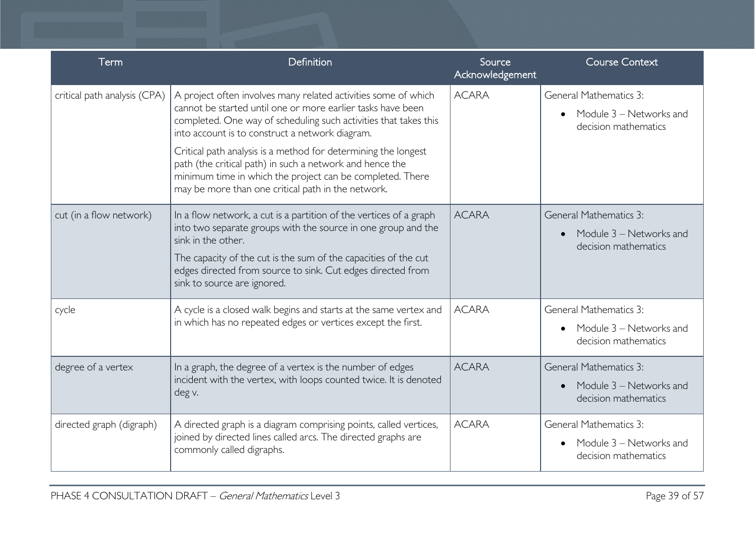| <b>Term</b>                  | Definition                                                                                                                                                                                                                                                                                                                                                                                                                                                                                            | Source<br>Acknowledgement | <b>Course Context</b>                                                            |
|------------------------------|-------------------------------------------------------------------------------------------------------------------------------------------------------------------------------------------------------------------------------------------------------------------------------------------------------------------------------------------------------------------------------------------------------------------------------------------------------------------------------------------------------|---------------------------|----------------------------------------------------------------------------------|
| critical path analysis (CPA) | A project often involves many related activities some of which<br>cannot be started until one or more earlier tasks have been<br>completed. One way of scheduling such activities that takes this<br>into account is to construct a network diagram.<br>Critical path analysis is a method for determining the longest<br>path (the critical path) in such a network and hence the<br>minimum time in which the project can be completed. There<br>may be more than one critical path in the network. | <b>ACARA</b>              | <b>General Mathematics 3:</b><br>Module 3 - Networks and<br>decision mathematics |
| cut (in a flow network)      | In a flow network, a cut is a partition of the vertices of a graph<br>into two separate groups with the source in one group and the<br>sink in the other.<br>The capacity of the cut is the sum of the capacities of the cut<br>edges directed from source to sink. Cut edges directed from<br>sink to source are ignored.                                                                                                                                                                            | <b>ACARA</b>              | <b>General Mathematics 3:</b><br>Module 3 - Networks and<br>decision mathematics |
| cycle                        | A cycle is a closed walk begins and starts at the same vertex and<br>in which has no repeated edges or vertices except the first.                                                                                                                                                                                                                                                                                                                                                                     | <b>ACARA</b>              | <b>General Mathematics 3:</b><br>Module 3 - Networks and<br>decision mathematics |
| degree of a vertex           | In a graph, the degree of a vertex is the number of edges<br>incident with the vertex, with loops counted twice. It is denoted<br>deg v.                                                                                                                                                                                                                                                                                                                                                              | <b>ACARA</b>              | <b>General Mathematics 3:</b><br>Module 3 – Networks and<br>decision mathematics |
| directed graph (digraph)     | A directed graph is a diagram comprising points, called vertices,<br>joined by directed lines called arcs. The directed graphs are<br>commonly called digraphs.                                                                                                                                                                                                                                                                                                                                       | <b>ACARA</b>              | <b>General Mathematics 3:</b><br>Module 3 – Networks and<br>decision mathematics |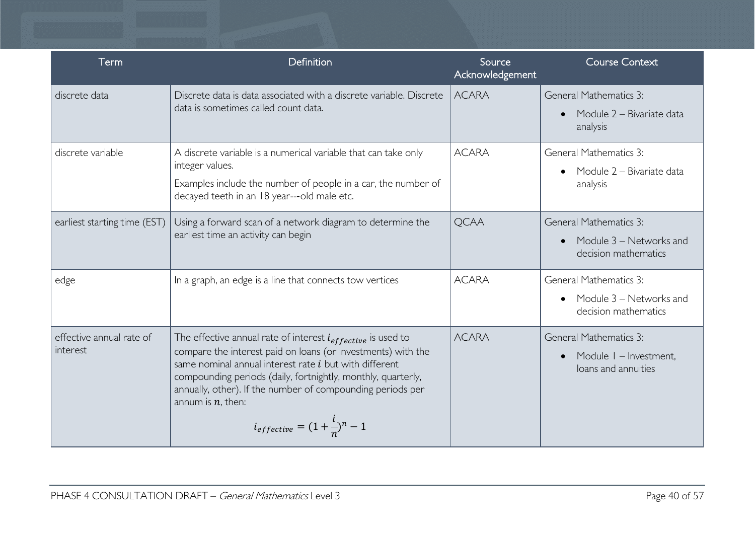| Term                                 | Definition                                                                                                                                                                                                                                                                                                                                                                                     | Source<br>Acknowledgement | <b>Course Context</b>                                                            |
|--------------------------------------|------------------------------------------------------------------------------------------------------------------------------------------------------------------------------------------------------------------------------------------------------------------------------------------------------------------------------------------------------------------------------------------------|---------------------------|----------------------------------------------------------------------------------|
| discrete data                        | Discrete data is data associated with a discrete variable. Discrete<br>data is sometimes called count data.                                                                                                                                                                                                                                                                                    | <b>ACARA</b>              | <b>General Mathematics 3:</b><br>Module 2 - Bivariate data<br>analysis           |
| discrete variable                    | A discrete variable is a numerical variable that can take only<br>integer values.<br>Examples include the number of people in a car, the number of<br>decayed teeth in an 18 year---old male etc.                                                                                                                                                                                              | <b>ACARA</b>              | <b>General Mathematics 3:</b><br>Module 2 – Bivariate data<br>analysis           |
| earliest starting time (EST)         | Using a forward scan of a network diagram to determine the<br>earliest time an activity can begin                                                                                                                                                                                                                                                                                              | <b>QCAA</b>               | <b>General Mathematics 3:</b><br>Module 3 - Networks and<br>decision mathematics |
| edge                                 | In a graph, an edge is a line that connects tow vertices                                                                                                                                                                                                                                                                                                                                       | <b>ACARA</b>              | <b>General Mathematics 3:</b><br>Module 3 – Networks and<br>decision mathematics |
| effective annual rate of<br>interest | The effective annual rate of interest $i_{effective}$ is used to<br>compare the interest paid on loans (or investments) with the<br>same nominal annual interest rate <i>i</i> but with different<br>compounding periods (daily, fortnightly, monthly, quarterly,<br>annually, other). If the number of compounding periods per<br>annum is $n$ , then:<br>$i_{effective}=(1+\frac{l}{n})^n-1$ | <b>ACARA</b>              | <b>General Mathematics 3:</b><br>Module I - Investment,<br>loans and annuities   |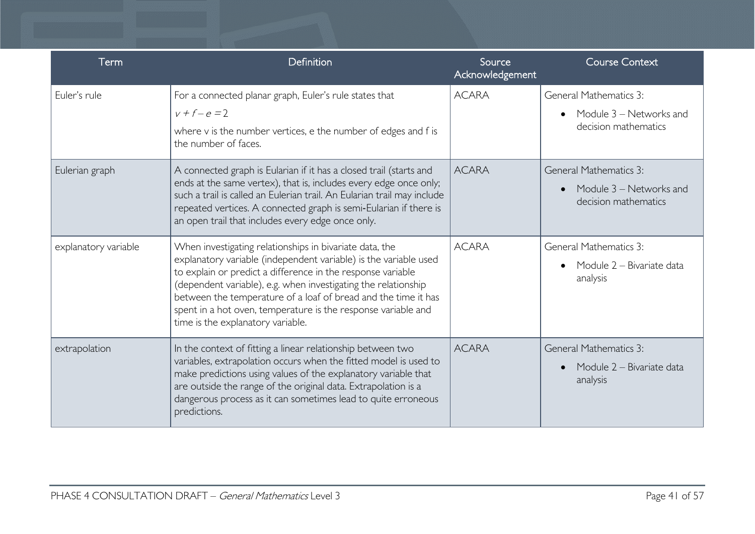| Term                 | Definition                                                                                                                                                                                                                                                                                                                                                                                                                           | Source<br>Acknowledgement | <b>Course Context</b>                                                            |
|----------------------|--------------------------------------------------------------------------------------------------------------------------------------------------------------------------------------------------------------------------------------------------------------------------------------------------------------------------------------------------------------------------------------------------------------------------------------|---------------------------|----------------------------------------------------------------------------------|
| Euler's rule         | For a connected planar graph, Euler's rule states that<br>$v + f - e = 2$<br>where v is the number vertices, e the number of edges and f is<br>the number of faces.                                                                                                                                                                                                                                                                  | <b>ACARA</b>              | General Mathematics 3:<br>Module 3 – Networks and<br>decision mathematics        |
| Eulerian graph       | A connected graph is Eularian if it has a closed trail (starts and<br>ends at the same vertex), that is, includes every edge once only;<br>such a trail is called an Eulerian trail. An Eularian trail may include<br>repeated vertices. A connected graph is semi-Eularian if there is<br>an open trail that includes every edge once only.                                                                                         | <b>ACARA</b>              | <b>General Mathematics 3:</b><br>Module 3 – Networks and<br>decision mathematics |
| explanatory variable | When investigating relationships in bivariate data, the<br>explanatory variable (independent variable) is the variable used<br>to explain or predict a difference in the response variable<br>(dependent variable), e.g. when investigating the relationship<br>between the temperature of a loaf of bread and the time it has<br>spent in a hot oven, temperature is the response variable and<br>time is the explanatory variable. | <b>ACARA</b>              | <b>General Mathematics 3:</b><br>Module 2 – Bivariate data<br>analysis           |
| extrapolation        | In the context of fitting a linear relationship between two<br>variables, extrapolation occurs when the fitted model is used to<br>make predictions using values of the explanatory variable that<br>are outside the range of the original data. Extrapolation is a<br>dangerous process as it can sometimes lead to quite erroneous<br>predictions.                                                                                 | <b>ACARA</b>              | <b>General Mathematics 3:</b><br>Module 2 - Bivariate data<br>analysis           |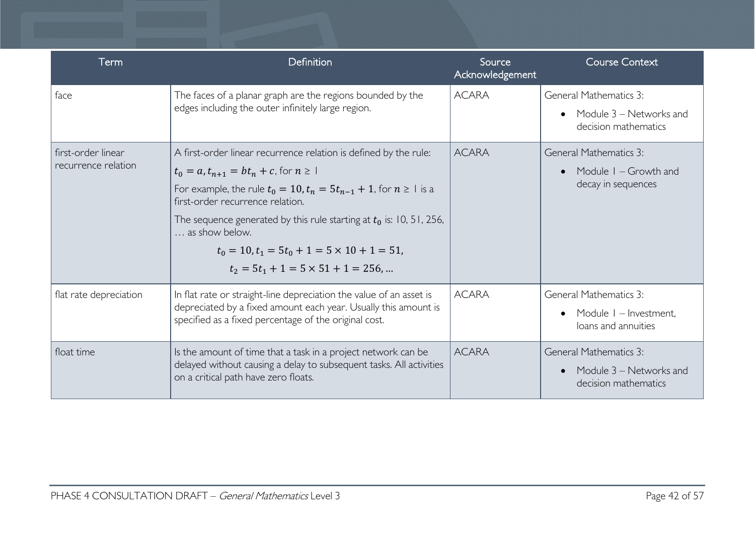| Term                                      | Definition                                                                                                                                                                                                                                                                                                                                                                                                                           | Source<br>Acknowledgement | <b>Course Context</b>                                                              |
|-------------------------------------------|--------------------------------------------------------------------------------------------------------------------------------------------------------------------------------------------------------------------------------------------------------------------------------------------------------------------------------------------------------------------------------------------------------------------------------------|---------------------------|------------------------------------------------------------------------------------|
| face                                      | The faces of a planar graph are the regions bounded by the<br>edges including the outer infinitely large region.                                                                                                                                                                                                                                                                                                                     | <b>ACARA</b>              | <b>General Mathematics 3:</b><br>Module $3$ – Networks and<br>decision mathematics |
| first-order linear<br>recurrence relation | A first-order linear recurrence relation is defined by the rule:<br>$t_0 = a, t_{n+1} = bt_n + c$ , for $n \ge 1$<br>For example, the rule $t_0 = 10$ , $t_n = 5t_{n-1} + 1$ , for $n \ge 1$ is a<br>first-order recurrence relation.<br>The sequence generated by this rule starting at $t_0$ is: 10, 51, 256,<br>as show below.<br>$t_0 = 10, t_1 = 5t_0 + 1 = 5 \times 10 + 1 = 51$<br>$t_2 = 5t_1 + 1 = 5 \times 51 + 1 = 256$ , | <b>ACARA</b>              | <b>General Mathematics 3:</b><br>Module $I - Growth$ and<br>decay in sequences     |
| flat rate depreciation                    | In flat rate or straight-line depreciation the value of an asset is<br>depreciated by a fixed amount each year. Usually this amount is<br>specified as a fixed percentage of the original cost.                                                                                                                                                                                                                                      | <b>ACARA</b>              | <b>General Mathematics 3:</b><br>Module I - Investment,<br>loans and annuities     |
| float time                                | Is the amount of time that a task in a project network can be<br>delayed without causing a delay to subsequent tasks. All activities<br>on a critical path have zero floats.                                                                                                                                                                                                                                                         | <b>ACARA</b>              | <b>General Mathematics 3:</b><br>Module 3 – Networks and<br>decision mathematics   |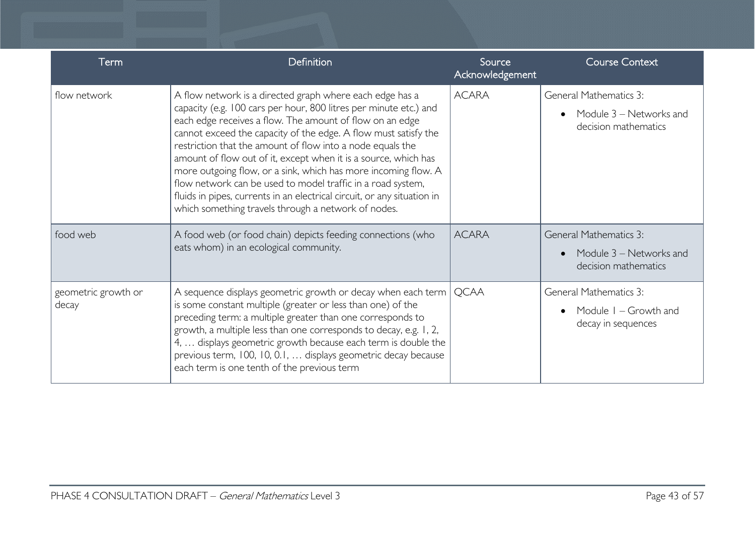| Term                         | Definition                                                                                                                                                                                                                                                                                                                                                                                                                                                                                                                                                                                                                                                       | Source<br>Acknowledgement | <b>Course Context</b>                                                            |
|------------------------------|------------------------------------------------------------------------------------------------------------------------------------------------------------------------------------------------------------------------------------------------------------------------------------------------------------------------------------------------------------------------------------------------------------------------------------------------------------------------------------------------------------------------------------------------------------------------------------------------------------------------------------------------------------------|---------------------------|----------------------------------------------------------------------------------|
| flow network                 | A flow network is a directed graph where each edge has a<br>capacity (e.g. 100 cars per hour, 800 litres per minute etc.) and<br>each edge receives a flow. The amount of flow on an edge<br>cannot exceed the capacity of the edge. A flow must satisfy the<br>restriction that the amount of flow into a node equals the<br>amount of flow out of it, except when it is a source, which has<br>more outgoing flow, or a sink, which has more incoming flow. A<br>flow network can be used to model traffic in a road system,<br>fluids in pipes, currents in an electrical circuit, or any situation in<br>which something travels through a network of nodes. | <b>ACARA</b>              | General Mathematics 3:<br>Module 3 – Networks and<br>decision mathematics        |
| food web                     | A food web (or food chain) depicts feeding connections (who<br>eats whom) in an ecological community.                                                                                                                                                                                                                                                                                                                                                                                                                                                                                                                                                            | <b>ACARA</b>              | <b>General Mathematics 3:</b><br>Module 3 - Networks and<br>decision mathematics |
| geometric growth or<br>decay | A sequence displays geometric growth or decay when each term  <br>is some constant multiple (greater or less than one) of the<br>preceding term: a multiple greater than one corresponds to<br>growth, a multiple less than one corresponds to decay, e.g. 1, 2,<br>4,  displays geometric growth because each term is double the<br>previous term, 100, 10, 0.1,  displays geometric decay because<br>each term is one tenth of the previous term                                                                                                                                                                                                               | <b>QCAA</b>               | General Mathematics 3:<br>Module $I - Growth$ and<br>decay in sequences          |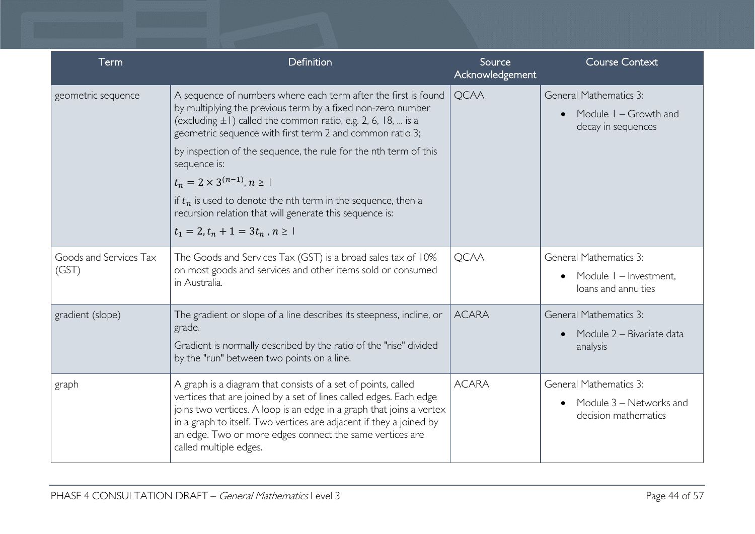| Term                            | Definition                                                                                                                                                                                                                                                                                                                                                                                                                                                                                                                                                        | Source<br>Acknowledgement | <b>Course Context</b>                                                            |
|---------------------------------|-------------------------------------------------------------------------------------------------------------------------------------------------------------------------------------------------------------------------------------------------------------------------------------------------------------------------------------------------------------------------------------------------------------------------------------------------------------------------------------------------------------------------------------------------------------------|---------------------------|----------------------------------------------------------------------------------|
| geometric sequence              | A sequence of numbers where each term after the first is found<br>by multiplying the previous term by a fixed non-zero number<br>(excluding $\pm 1$ ) called the common ratio, e.g. 2, 6, 18,  is a<br>geometric sequence with first term 2 and common ratio 3;<br>by inspection of the sequence, the rule for the nth term of this<br>sequence is:<br>$t_n = 2 \times 3^{(n-1)}$ , $n \ge 1$<br>if $t_n$ is used to denote the nth term in the sequence, then a<br>recursion relation that will generate this sequence is:<br>$t_1 = 2, t_n + 1 = 3t_n, n \ge 1$ | <b>QCAA</b>               | <b>General Mathematics 3:</b><br>Module $I - Growth$ and<br>decay in sequences   |
| Goods and Services Tax<br>(GST) | The Goods and Services Tax (GST) is a broad sales tax of 10%<br>on most goods and services and other items sold or consumed<br>in Australia.                                                                                                                                                                                                                                                                                                                                                                                                                      | <b>QCAA</b>               | <b>General Mathematics 3:</b><br>Module I - Investment.<br>loans and annuities   |
| gradient (slope)                | The gradient or slope of a line describes its steepness, incline, or<br>grade.<br>Gradient is normally described by the ratio of the "rise" divided<br>by the "run" between two points on a line.                                                                                                                                                                                                                                                                                                                                                                 | <b>ACARA</b>              | <b>General Mathematics 3:</b><br>Module 2 - Bivariate data<br>analysis           |
| graph                           | A graph is a diagram that consists of a set of points, called<br>vertices that are joined by a set of lines called edges. Each edge<br>joins two vertices. A loop is an edge in a graph that joins a vertex<br>in a graph to itself. Two vertices are adjacent if they a joined by<br>an edge. Two or more edges connect the same vertices are<br>called multiple edges.                                                                                                                                                                                          | <b>ACARA</b>              | <b>General Mathematics 3:</b><br>Module 3 – Networks and<br>decision mathematics |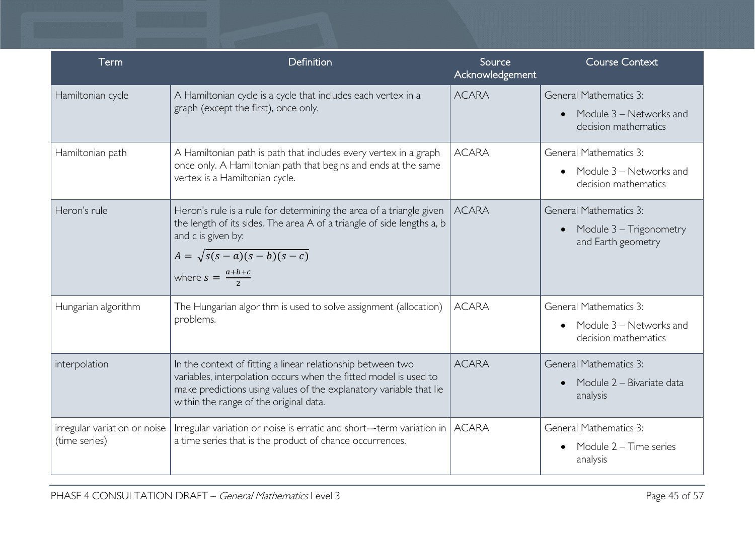| Term                                          | Definition                                                                                                                                                                                                                                      | Source<br>Acknowledgement | <b>Course Context</b>                                                            |
|-----------------------------------------------|-------------------------------------------------------------------------------------------------------------------------------------------------------------------------------------------------------------------------------------------------|---------------------------|----------------------------------------------------------------------------------|
| Hamiltonian cycle                             | A Hamiltonian cycle is a cycle that includes each vertex in a<br>graph (except the first), once only.                                                                                                                                           | <b>ACARA</b>              | <b>General Mathematics 3:</b><br>Module 3 – Networks and<br>decision mathematics |
| Hamiltonian path                              | A Hamiltonian path is path that includes every vertex in a graph<br>once only. A Hamiltonian path that begins and ends at the same<br>vertex is a Hamiltonian cycle.                                                                            | <b>ACARA</b>              | <b>General Mathematics 3:</b><br>Module 3 – Networks and<br>decision mathematics |
| Heron's rule                                  | Heron's rule is a rule for determining the area of a triangle given<br>the length of its sides. The area A of a triangle of side lengths a, b<br>and c is given by:<br>$A = \sqrt{s(s-a)(s-b)(s-c)}$<br>where $s = \frac{a+b+c}{2}$             | <b>ACARA</b>              | <b>General Mathematics 3:</b><br>Module 3 – Trigonometry<br>and Earth geometry   |
| Hungarian algorithm                           | The Hungarian algorithm is used to solve assignment (allocation)<br>problems.                                                                                                                                                                   | <b>ACARA</b>              | <b>General Mathematics 3:</b><br>Module 3 – Networks and<br>decision mathematics |
| interpolation                                 | In the context of fitting a linear relationship between two<br>variables, interpolation occurs when the fitted model is used to<br>make predictions using values of the explanatory variable that lie<br>within the range of the original data. | <b>ACARA</b>              | <b>General Mathematics 3:</b><br>Module 2 - Bivariate data<br>analysis           |
| irregular variation or noise<br>(time series) | Irregular variation or noise is erratic and short---term variation in   ACARA<br>a time series that is the product of chance occurrences.                                                                                                       |                           | <b>General Mathematics 3:</b><br>Module 2 – Time series<br>analysis              |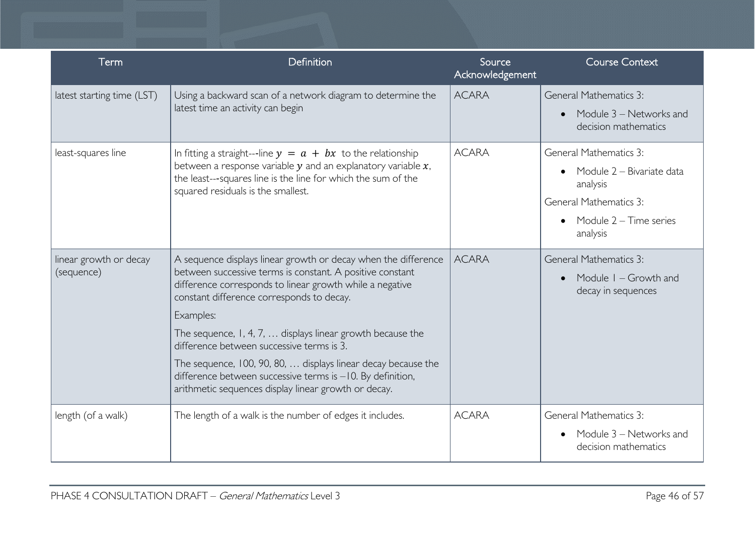| Term                                 | Definition                                                                                                                                                                                                                                                                                                                                                                                                                                                                                                                                                  | Source<br>Acknowledgement | <b>Course Context</b>                                                                                                                             |
|--------------------------------------|-------------------------------------------------------------------------------------------------------------------------------------------------------------------------------------------------------------------------------------------------------------------------------------------------------------------------------------------------------------------------------------------------------------------------------------------------------------------------------------------------------------------------------------------------------------|---------------------------|---------------------------------------------------------------------------------------------------------------------------------------------------|
| latest starting time (LST)           | Using a backward scan of a network diagram to determine the<br>latest time an activity can begin                                                                                                                                                                                                                                                                                                                                                                                                                                                            | <b>ACARA</b>              | <b>General Mathematics 3:</b><br>Module 3 – Networks and<br>decision mathematics                                                                  |
| least-squares line                   | In fitting a straight---line $y = a + bx$ to the relationship<br>between a response variable $y$ and an explanatory variable $x$ ,<br>the least---squares line is the line for which the sum of the<br>squared residuals is the smallest.                                                                                                                                                                                                                                                                                                                   | <b>ACARA</b>              | <b>General Mathematics 3:</b><br>Module 2 – Bivariate data<br>analysis<br><b>General Mathematics 3:</b><br>• Module $2 -$ Time series<br>analysis |
| linear growth or decay<br>(sequence) | A sequence displays linear growth or decay when the difference<br>between successive terms is constant. A positive constant<br>difference corresponds to linear growth while a negative<br>constant difference corresponds to decay.<br>Examples:<br>The sequence, $1, 4, 7, \ldots$ displays linear growth because the<br>difference between successive terms is 3.<br>The sequence, 100, 90, 80,  displays linear decay because the<br>difference between successive terms is -10. By definition,<br>arithmetic sequences display linear growth or decay. | <b>ACARA</b>              | <b>General Mathematics 3:</b><br>Module $I - Growth$ and<br>decay in sequences                                                                    |
| length (of a walk)                   | The length of a walk is the number of edges it includes.                                                                                                                                                                                                                                                                                                                                                                                                                                                                                                    | <b>ACARA</b>              | <b>General Mathematics 3:</b><br>Module 3 - Networks and<br>decision mathematics                                                                  |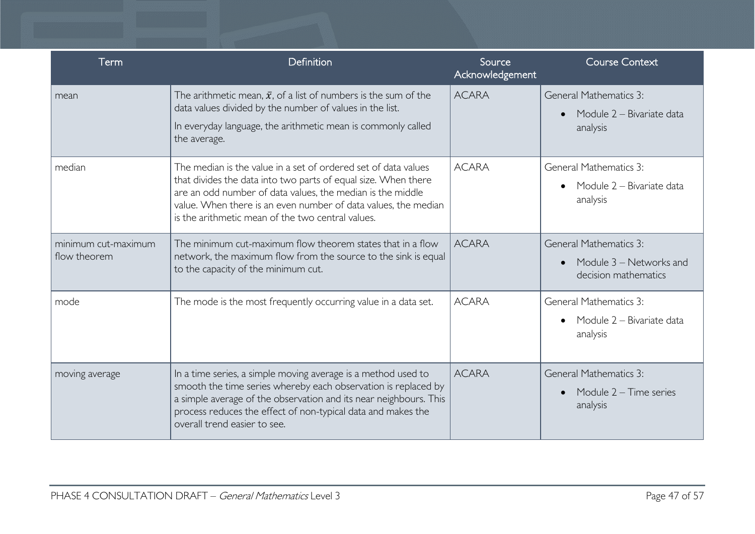| Term                                | Definition                                                                                                                                                                                                                                                                                                            | Source<br>Acknowledgement | <b>Course Context</b>                                                            |
|-------------------------------------|-----------------------------------------------------------------------------------------------------------------------------------------------------------------------------------------------------------------------------------------------------------------------------------------------------------------------|---------------------------|----------------------------------------------------------------------------------|
| mean                                | The arithmetic mean, $\bar{x}$ , of a list of numbers is the sum of the<br>data values divided by the number of values in the list.<br>In everyday language, the arithmetic mean is commonly called<br>the average.                                                                                                   | <b>ACARA</b>              | <b>General Mathematics 3:</b><br>Module 2 - Bivariate data<br>analysis           |
| median                              | The median is the value in a set of ordered set of data values<br>that divides the data into two parts of equal size. When there<br>are an odd number of data values, the median is the middle<br>value. When there is an even number of data values, the median<br>is the arithmetic mean of the two central values. | <b>ACARA</b>              | <b>General Mathematics 3:</b><br>Module 2 - Bivariate data<br>analysis           |
| minimum cut-maximum<br>flow theorem | The minimum cut-maximum flow theorem states that in a flow<br>network, the maximum flow from the source to the sink is equal<br>to the capacity of the minimum cut.                                                                                                                                                   | <b>ACARA</b>              | <b>General Mathematics 3:</b><br>Module 3 – Networks and<br>decision mathematics |
| mode                                | The mode is the most frequently occurring value in a data set.                                                                                                                                                                                                                                                        | <b>ACARA</b>              | <b>General Mathematics 3:</b><br>Module 2 - Bivariate data<br>analysis           |
| moving average                      | In a time series, a simple moving average is a method used to<br>smooth the time series whereby each observation is replaced by<br>a simple average of the observation and its near neighbours. This<br>process reduces the effect of non-typical data and makes the<br>overall trend easier to see.                  | <b>ACARA</b>              | <b>General Mathematics 3:</b><br>Module $2 -$ Time series<br>analysis            |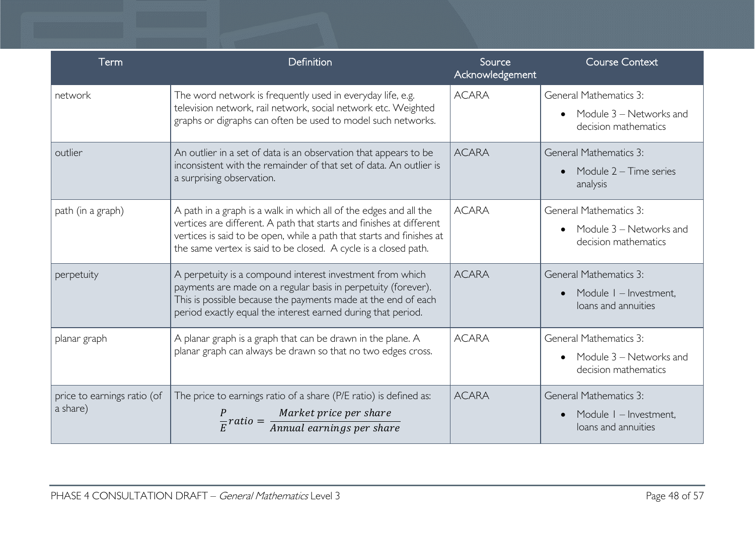| Term                                    | Definition                                                                                                                                                                                                                                                                            | Source<br>Acknowledgement | <b>Course Context</b>                                                            |
|-----------------------------------------|---------------------------------------------------------------------------------------------------------------------------------------------------------------------------------------------------------------------------------------------------------------------------------------|---------------------------|----------------------------------------------------------------------------------|
| network                                 | The word network is frequently used in everyday life, e.g.<br>television network, rail network, social network etc. Weighted<br>graphs or digraphs can often be used to model such networks.                                                                                          | <b>ACARA</b>              | <b>General Mathematics 3:</b><br>Module 3 - Networks and<br>decision mathematics |
| outlier                                 | An outlier in a set of data is an observation that appears to be<br>inconsistent with the remainder of that set of data. An outlier is<br>a surprising observation.                                                                                                                   | <b>ACARA</b>              | <b>General Mathematics 3:</b><br>Module $2 -$ Time series<br>analysis            |
| path (in a graph)                       | A path in a graph is a walk in which all of the edges and all the<br>vertices are different. A path that starts and finishes at different<br>vertices is said to be open, while a path that starts and finishes at<br>the same vertex is said to be closed. A cycle is a closed path. | <b>ACARA</b>              | <b>General Mathematics 3:</b><br>Module 3 – Networks and<br>decision mathematics |
| perpetuity                              | A perpetuity is a compound interest investment from which<br>payments are made on a regular basis in perpetuity (forever).<br>This is possible because the payments made at the end of each<br>period exactly equal the interest earned during that period.                           | <b>ACARA</b>              | <b>General Mathematics 3:</b><br>Module I - Investment,<br>loans and annuities   |
| planar graph                            | A planar graph is a graph that can be drawn in the plane. A<br>planar graph can always be drawn so that no two edges cross.                                                                                                                                                           | <b>ACARA</b>              | <b>General Mathematics 3:</b><br>Module 3 - Networks and<br>decision mathematics |
| price to earnings ratio (of<br>a share) | The price to earnings ratio of a share (P/E ratio) is defined as:<br>$\frac{P}{E}$ ratio = $\frac{Market\ price\ per\ share}{Annual\ earnings\ per\ share}$                                                                                                                           | <b>ACARA</b>              | <b>General Mathematics 3:</b><br>Module I - Investment,<br>loans and annuities   |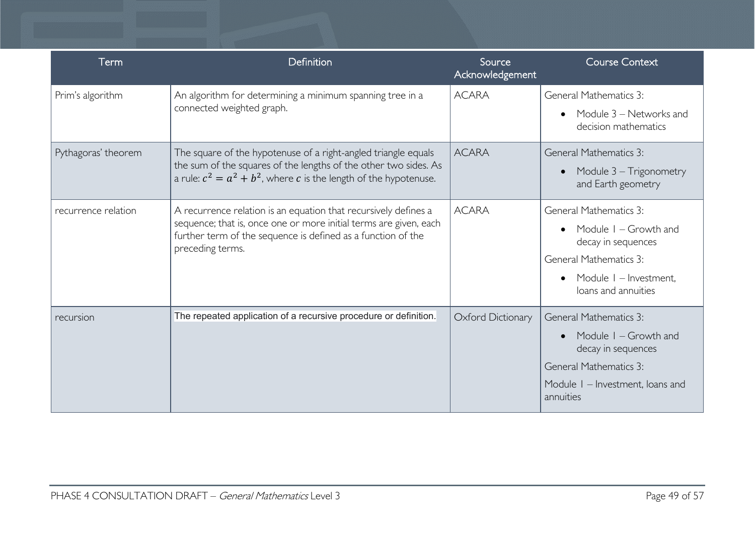| Term                | Definition                                                                                                                                                                                                               | Source<br>Acknowledgement | <b>Course Context</b>                                                                                                                                            |
|---------------------|--------------------------------------------------------------------------------------------------------------------------------------------------------------------------------------------------------------------------|---------------------------|------------------------------------------------------------------------------------------------------------------------------------------------------------------|
| Prim's algorithm    | An algorithm for determining a minimum spanning tree in a<br>connected weighted graph.                                                                                                                                   | <b>ACARA</b>              | <b>General Mathematics 3:</b><br>Module 3 – Networks and<br>decision mathematics                                                                                 |
| Pythagoras' theorem | The square of the hypotenuse of a right-angled triangle equals<br>the sum of the squares of the lengths of the other two sides. As<br>a rule: $c^2 = a^2 + b^2$ , where c is the length of the hypotenuse.               | <b>ACARA</b>              | <b>General Mathematics 3:</b><br>Module 3 – Trigonometry<br>and Earth geometry                                                                                   |
| recurrence relation | A recurrence relation is an equation that recursively defines a<br>sequence; that is, once one or more initial terms are given, each<br>further term of the sequence is defined as a function of the<br>preceding terms. | <b>ACARA</b>              | General Mathematics 3:<br>Module $I - Growth$ and<br>decay in sequences<br><b>General Mathematics 3:</b><br>Module I - Investment,<br>loans and annuities        |
| recursion           | The repeated application of a recursive procedure or definition.                                                                                                                                                         | Oxford Dictionary         | <b>General Mathematics 3:</b><br>Module $I - Growth$ and<br>decay in sequences<br><b>General Mathematics 3:</b><br>Module I - Investment, Ioans and<br>annuities |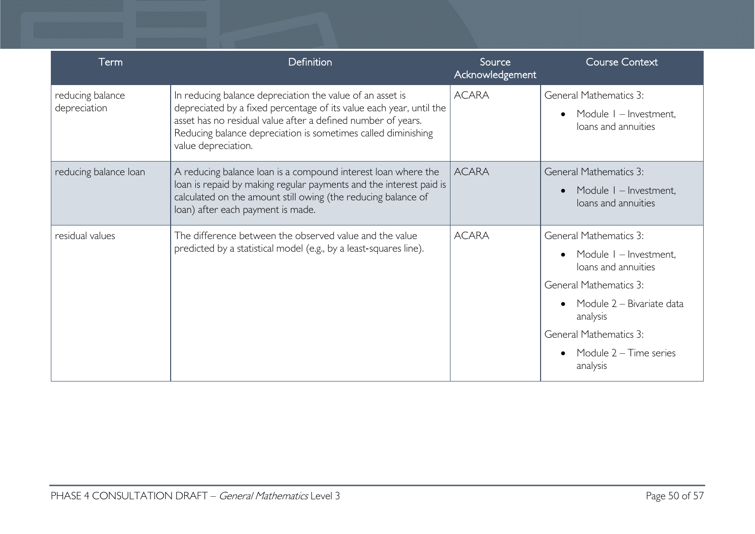| Term                             | Definition                                                                                                                                                                                                                                                                               | Source<br>Acknowledgement | <b>Course Context</b>                                                                                                                                                                                                           |
|----------------------------------|------------------------------------------------------------------------------------------------------------------------------------------------------------------------------------------------------------------------------------------------------------------------------------------|---------------------------|---------------------------------------------------------------------------------------------------------------------------------------------------------------------------------------------------------------------------------|
| reducing balance<br>depreciation | In reducing balance depreciation the value of an asset is<br>depreciated by a fixed percentage of its value each year, until the<br>asset has no residual value after a defined number of years.<br>Reducing balance depreciation is sometimes called diminishing<br>value depreciation. | <b>ACARA</b>              | <b>General Mathematics 3:</b><br>Module I - Investment,<br>loans and annuities                                                                                                                                                  |
| reducing balance loan            | A reducing balance loan is a compound interest loan where the<br>loan is repaid by making regular payments and the interest paid is<br>calculated on the amount still owing (the reducing balance of<br>loan) after each payment is made.                                                | <b>ACARA</b>              | <b>General Mathematics 3:</b><br>Module I - Investment,<br>loans and annuities                                                                                                                                                  |
| residual values                  | The difference between the observed value and the value<br>predicted by a statistical model (e.g., by a least-squares line).                                                                                                                                                             | <b>ACARA</b>              | <b>General Mathematics 3:</b><br>Module I - Investment,<br>loans and annuities<br><b>General Mathematics 3:</b><br>Module 2 - Bivariate data<br>analysis<br><b>General Mathematics 3:</b><br>Module 2 – Time series<br>analysis |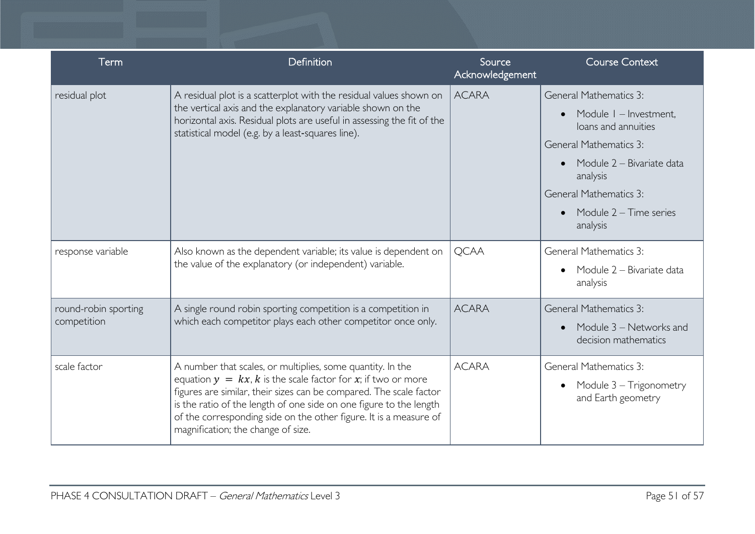| Term                                | Definition                                                                                                                                                                                                                                                                                                                                                                           | Source<br>Acknowledgement | <b>Course Context</b>                                                                                                                                                                                                             |
|-------------------------------------|--------------------------------------------------------------------------------------------------------------------------------------------------------------------------------------------------------------------------------------------------------------------------------------------------------------------------------------------------------------------------------------|---------------------------|-----------------------------------------------------------------------------------------------------------------------------------------------------------------------------------------------------------------------------------|
| residual plot                       | A residual plot is a scatterplot with the residual values shown on<br>the vertical axis and the explanatory variable shown on the<br>horizontal axis. Residual plots are useful in assessing the fit of the<br>statistical model (e.g. by a least-squares line).                                                                                                                     | <b>ACARA</b>              | <b>General Mathematics 3:</b><br>Module I - Investment,<br>loans and annuities<br><b>General Mathematics 3:</b><br>Module 2 - Bivariate data<br>analysis<br><b>General Mathematics 3:</b><br>Module $2 -$ Time series<br>analysis |
| response variable                   | Also known as the dependent variable; its value is dependent on<br>the value of the explanatory (or independent) variable.                                                                                                                                                                                                                                                           | <b>QCAA</b>               | <b>General Mathematics 3:</b><br>Module 2 - Bivariate data<br>analysis                                                                                                                                                            |
| round-robin sporting<br>competition | A single round robin sporting competition is a competition in<br>which each competitor plays each other competitor once only.                                                                                                                                                                                                                                                        | <b>ACARA</b>              | <b>General Mathematics 3:</b><br>Module 3 - Networks and<br>decision mathematics                                                                                                                                                  |
| scale factor                        | A number that scales, or multiplies, some quantity. In the<br>equation $y = kx$ , k is the scale factor for x; if two or more<br>figures are similar, their sizes can be compared. The scale factor<br>is the ratio of the length of one side on one figure to the length<br>of the corresponding side on the other figure. It is a measure of<br>magnification; the change of size. | <b>ACARA</b>              | <b>General Mathematics 3:</b><br>Module 3 - Trigonometry<br>and Earth geometry                                                                                                                                                    |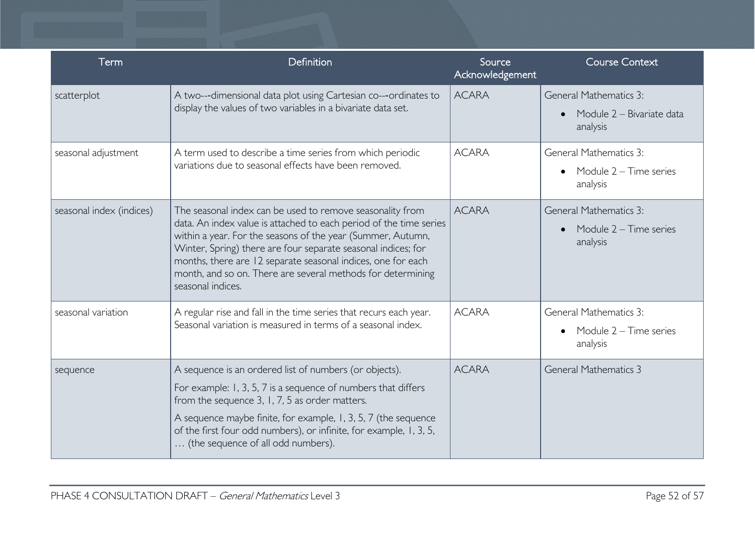| Term                     | Definition                                                                                                                                                                                                                                                                                                                                                                                                          | Source<br>Acknowledgement | <b>Course Context</b>                                                  |
|--------------------------|---------------------------------------------------------------------------------------------------------------------------------------------------------------------------------------------------------------------------------------------------------------------------------------------------------------------------------------------------------------------------------------------------------------------|---------------------------|------------------------------------------------------------------------|
| scatterplot              | A two---dimensional data plot using Cartesian co---ordinates to<br>display the values of two variables in a bivariate data set.                                                                                                                                                                                                                                                                                     | <b>ACARA</b>              | <b>General Mathematics 3:</b><br>Module 2 - Bivariate data<br>analysis |
| seasonal adjustment      | A term used to describe a time series from which periodic<br>variations due to seasonal effects have been removed.                                                                                                                                                                                                                                                                                                  | <b>ACARA</b>              | <b>General Mathematics 3:</b><br>Module $2 -$ Time series<br>analysis  |
| seasonal index (indices) | The seasonal index can be used to remove seasonality from<br>data. An index value is attached to each period of the time series<br>within a year. For the seasons of the year (Summer, Autumn,<br>Winter, Spring) there are four separate seasonal indices; for<br>months, there are 12 separate seasonal indices, one for each<br>month, and so on. There are several methods for determining<br>seasonal indices. | <b>ACARA</b>              | <b>General Mathematics 3:</b><br>Module $2 -$ Time series<br>analysis  |
| seasonal variation       | A regular rise and fall in the time series that recurs each year.<br>Seasonal variation is measured in terms of a seasonal index.                                                                                                                                                                                                                                                                                   | <b>ACARA</b>              | <b>General Mathematics 3:</b><br>Module 2 – Time series<br>analysis    |
| sequence                 | A sequence is an ordered list of numbers (or objects).<br>For example: 1, 3, 5, 7 is a sequence of numbers that differs<br>from the sequence 3, 1, 7, 5 as order matters.<br>A sequence maybe finite, for example, 1, 3, 5, 7 (the sequence<br>of the first four odd numbers), or infinite, for example, 1, 3, 5,<br>(the sequence of all odd numbers).                                                             | <b>ACARA</b>              | <b>General Mathematics 3</b>                                           |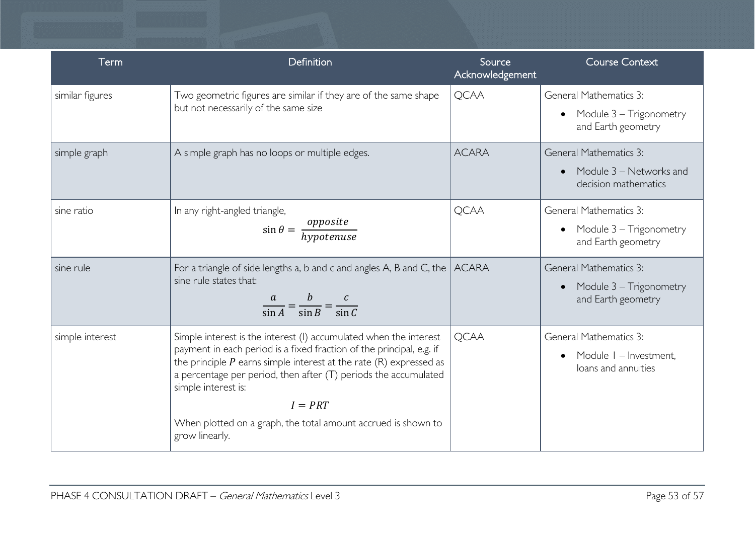| Term            | Definition                                                                                                                                                                                                                                                                                                                                                                                                      | Source<br>Acknowledgement | <b>Course Context</b>                                                            |
|-----------------|-----------------------------------------------------------------------------------------------------------------------------------------------------------------------------------------------------------------------------------------------------------------------------------------------------------------------------------------------------------------------------------------------------------------|---------------------------|----------------------------------------------------------------------------------|
| similar figures | Two geometric figures are similar if they are of the same shape<br>but not necessarily of the same size                                                                                                                                                                                                                                                                                                         | <b>QCAA</b>               | <b>General Mathematics 3:</b><br>Module 3 – Trigonometry<br>and Earth geometry   |
| simple graph    | A simple graph has no loops or multiple edges.                                                                                                                                                                                                                                                                                                                                                                  | <b>ACARA</b>              | <b>General Mathematics 3:</b><br>Module 3 – Networks and<br>decision mathematics |
| sine ratio      | In any right-angled triangle,<br>$\sin \theta = \frac{opposite}{hypotenuse}$                                                                                                                                                                                                                                                                                                                                    | <b>QCAA</b>               | <b>General Mathematics 3:</b><br>Module 3 – Trigonometry<br>and Earth geometry   |
| sine rule       | For a triangle of side lengths a, b and c and angles A, B and C, the<br>sine rule states that:<br>$\frac{a}{\sin A} = \frac{b}{\sin B} = \frac{c}{\sin C}$                                                                                                                                                                                                                                                      | <b>ACARA</b>              | <b>General Mathematics 3:</b><br>Module 3 – Trigonometry<br>and Earth geometry   |
| simple interest | Simple interest is the interest (I) accumulated when the interest<br>payment in each period is a fixed fraction of the principal, e.g. if<br>the principle $P$ earns simple interest at the rate $(R)$ expressed as<br>a percentage per period, then after $(T)$ periods the accumulated<br>simple interest is:<br>$I = PRT$<br>When plotted on a graph, the total amount accrued is shown to<br>grow linearly. | <b>QCAA</b>               | General Mathematics 3:<br>Module I - Investment,<br>loans and annuities          |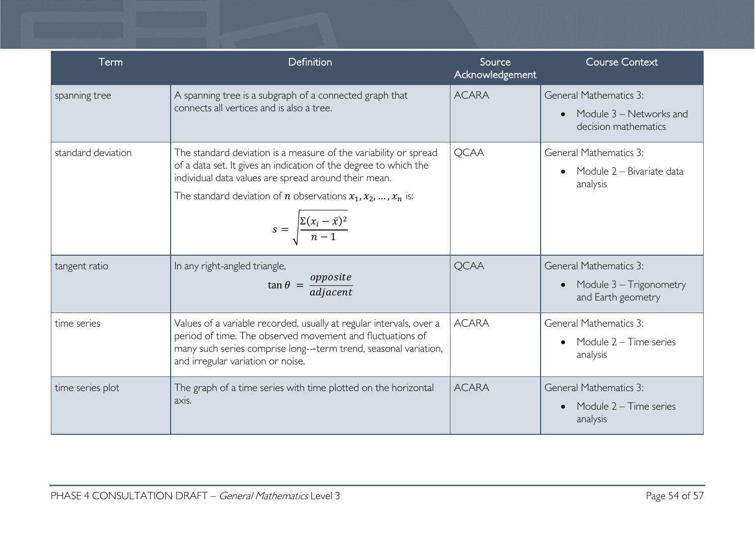| Term               | Definition                                                                                                                                                                                                                                                                                                                | Source<br>Acknowledgement | <b>Course Context</b>                                                            |
|--------------------|---------------------------------------------------------------------------------------------------------------------------------------------------------------------------------------------------------------------------------------------------------------------------------------------------------------------------|---------------------------|----------------------------------------------------------------------------------|
| spanning tree      | A spanning tree is a subgraph of a connected graph that<br>connects all vertices and is also a tree.                                                                                                                                                                                                                      | <b>ACARA</b>              | <b>General Mathematics 3:</b><br>Module 3 - Networks and<br>decision mathematics |
| standard deviation | The standard deviation is a measure of the variability or spread<br>of a data set. It gives an indication of the degree to which the<br>individual data values are spread around their mean.<br>The standard deviation of <i>n</i> observations $x_1, x_2, , x_n$ is:<br>$s = \sqrt{\frac{\Sigma(x_i - \bar{x})^2}{n-1}}$ | <b>QCAA</b>               | General Mathematics 3:<br>Module 2 - Bivariate data<br>analysis                  |
| tangent ratio      | In any right-angled triangle,<br>$\tan \theta = \frac{opposite}{adjacent}$                                                                                                                                                                                                                                                | <b>QCAA</b>               | <b>General Mathematics 3:</b><br>Module 3 – Trigonometry<br>and Earth geometry   |
| time series        | Values of a variable recorded, usually at regular intervals, over a<br>period of time. The observed movement and fluctuations of<br>many such series comprise long---term trend, seasonal variation,<br>and irregular variation or noise.                                                                                 | <b>ACARA</b>              | General Mathematics 3:<br>Module $2 -$ Time series<br>analysis                   |
| time series plot   | The graph of a time series with time plotted on the horizontal<br>axis.                                                                                                                                                                                                                                                   | <b>ACARA</b>              | <b>General Mathematics 3:</b><br>Module $2 -$ Time series<br>analysis            |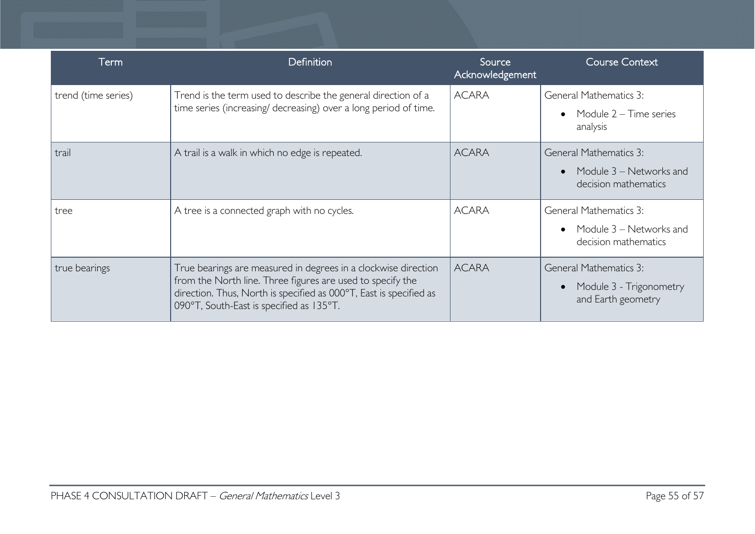| Term                | Definition                                                                                                                                                                                                                                     | Source<br>Acknowledgement | <b>Course Context</b>                                                            |
|---------------------|------------------------------------------------------------------------------------------------------------------------------------------------------------------------------------------------------------------------------------------------|---------------------------|----------------------------------------------------------------------------------|
| trend (time series) | Trend is the term used to describe the general direction of a<br>time series (increasing/ decreasing) over a long period of time.                                                                                                              | <b>ACARA</b>              | <b>General Mathematics 3:</b><br>Module $2 -$ Time series<br>analysis            |
| trail               | A trail is a walk in which no edge is repeated.                                                                                                                                                                                                | <b>ACARA</b>              | <b>General Mathematics 3:</b><br>Module 3 – Networks and<br>decision mathematics |
| tree                | A tree is a connected graph with no cycles.                                                                                                                                                                                                    | <b>ACARA</b>              | <b>General Mathematics 3:</b><br>Module 3 – Networks and<br>decision mathematics |
| true bearings       | True bearings are measured in degrees in a clockwise direction<br>from the North line. Three figures are used to specify the<br>direction. Thus, North is specified as 000°T, East is specified as<br>090°T, South-East is specified as 135°T. | <b>ACARA</b>              | <b>General Mathematics 3:</b><br>Module 3 - Trigonometry<br>and Earth geometry   |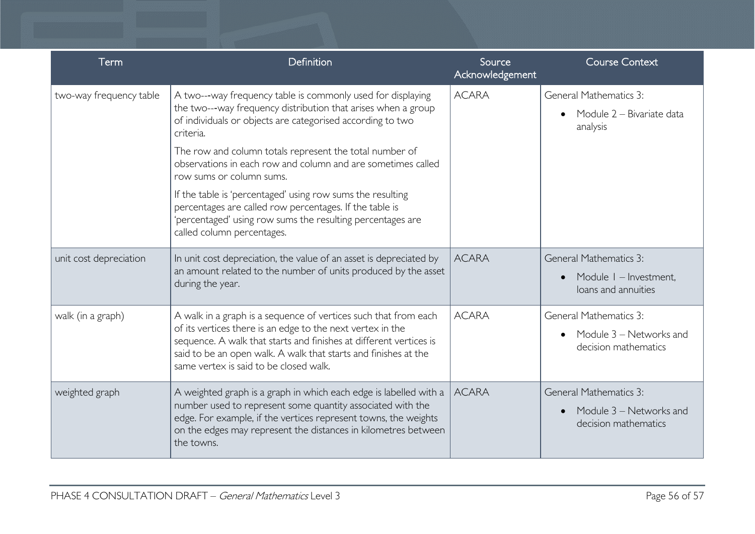| Term                    | Definition                                                                                                                                                                                                                                                                                                                                                                                                                                                                                                                                                                          | Source<br>Acknowledgement | <b>Course Context</b>                                                            |
|-------------------------|-------------------------------------------------------------------------------------------------------------------------------------------------------------------------------------------------------------------------------------------------------------------------------------------------------------------------------------------------------------------------------------------------------------------------------------------------------------------------------------------------------------------------------------------------------------------------------------|---------------------------|----------------------------------------------------------------------------------|
| two-way frequency table | A two---way frequency table is commonly used for displaying<br>the two---way frequency distribution that arises when a group<br>of individuals or objects are categorised according to two<br>criteria.<br>The row and column totals represent the total number of<br>observations in each row and column and are sometimes called<br>row sums or column sums.<br>If the table is 'percentaged' using row sums the resulting<br>percentages are called row percentages. If the table is<br>'percentaged' using row sums the resulting percentages are<br>called column percentages. | <b>ACARA</b>              | <b>General Mathematics 3:</b><br>Module 2 – Bivariate data<br>analysis           |
| unit cost depreciation  | In unit cost depreciation, the value of an asset is depreciated by<br>an amount related to the number of units produced by the asset<br>during the year.                                                                                                                                                                                                                                                                                                                                                                                                                            | <b>ACARA</b>              | <b>General Mathematics 3:</b><br>Module I - Investment,<br>loans and annuities   |
| walk (in a graph)       | A walk in a graph is a sequence of vertices such that from each<br>of its vertices there is an edge to the next vertex in the<br>sequence. A walk that starts and finishes at different vertices is<br>said to be an open walk. A walk that starts and finishes at the<br>same vertex is said to be closed walk.                                                                                                                                                                                                                                                                    | <b>ACARA</b>              | <b>General Mathematics 3:</b><br>Module 3 - Networks and<br>decision mathematics |
| weighted graph          | A weighted graph is a graph in which each edge is labelled with a $\vert$<br>number used to represent some quantity associated with the<br>edge. For example, if the vertices represent towns, the weights<br>on the edges may represent the distances in kilometres between<br>the towns.                                                                                                                                                                                                                                                                                          | <b>ACARA</b>              | <b>General Mathematics 3:</b><br>Module 3 – Networks and<br>decision mathematics |